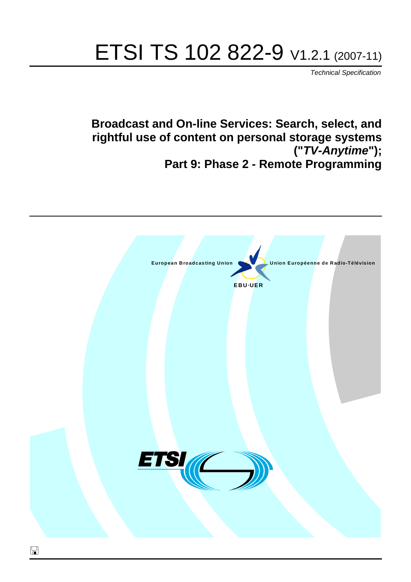# ETSI TS 102 822-9 V1.2.1 (2007-11)

*Technical Specification*

**Broadcast and On-line Services: Search, select, and rightful use of content on personal storage systems ("***TV-Anytime***"); Part 9: Phase 2 - Remote Programming**

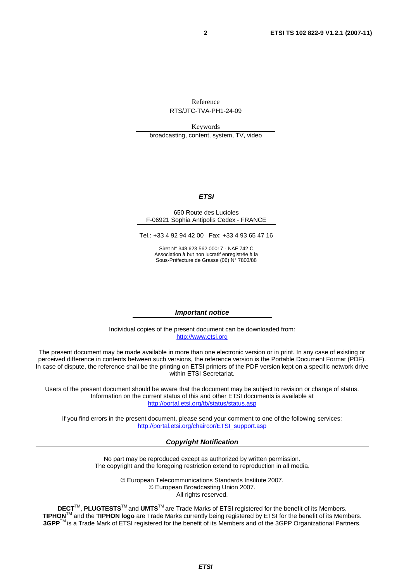Reference

RTS/JTC-TVA-PH1-24-09

Keywords broadcasting, content, system, TV, video

#### *ETSI*

#### 650 Route des Lucioles F-06921 Sophia Antipolis Cedex - FRANCE

Tel.: +33 4 92 94 42 00 Fax: +33 4 93 65 47 16

Siret N° 348 623 562 00017 - NAF 742 C Association à but non lucratif enregistrée à la Sous-Préfecture de Grasse (06) N° 7803/88

#### *Important notice*

Individual copies of the present document can be downloaded from: [http://www.etsi.org](http://www.etsi.org/)

The present document may be made available in more than one electronic version or in print. In any case of existing or perceived difference in contents between such versions, the reference version is the Portable Document Format (PDF). In case of dispute, the reference shall be the printing on ETSI printers of the PDF version kept on a specific network drive within ETSI Secretariat.

Users of the present document should be aware that the document may be subject to revision or change of status. Information on the current status of this and other ETSI documents is available at <http://portal.etsi.org/tb/status/status.asp>

If you find errors in the present document, please send your comment to one of the following services: [http://portal.etsi.org/chaircor/ETSI\\_support.asp](http://portal.etsi.org/chaircor/ETSI_support.asp)

#### *Copyright Notification*

No part may be reproduced except as authorized by written permission. The copyright and the foregoing restriction extend to reproduction in all media.

> © European Telecommunications Standards Institute 2007. © European Broadcasting Union 2007. All rights reserved.

**DECT**TM, **PLUGTESTS**TM and **UMTS**TM are Trade Marks of ETSI registered for the benefit of its Members. **TIPHON**TM and the **TIPHON logo** are Trade Marks currently being registered by ETSI for the benefit of its Members. **3GPP**TM is a Trade Mark of ETSI registered for the benefit of its Members and of the 3GPP Organizational Partners.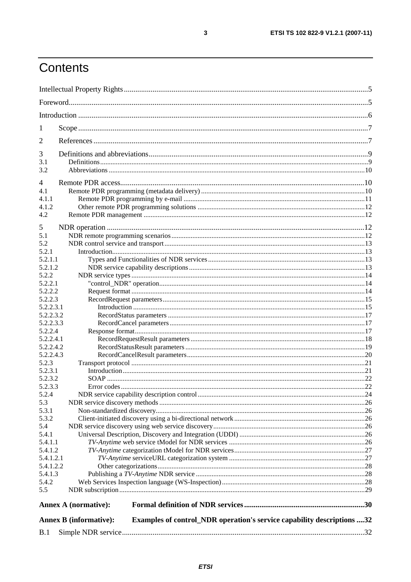# Contents

| 1                    |                                                                                                         |  |
|----------------------|---------------------------------------------------------------------------------------------------------|--|
| $\overline{2}$       |                                                                                                         |  |
| 3                    |                                                                                                         |  |
| 3.1<br>3.2           |                                                                                                         |  |
| 4                    |                                                                                                         |  |
| 4.1                  |                                                                                                         |  |
| 4.1.1                |                                                                                                         |  |
| 4.1.2                |                                                                                                         |  |
| 4.2                  |                                                                                                         |  |
| 5                    |                                                                                                         |  |
| 5.1                  |                                                                                                         |  |
| 5.2                  |                                                                                                         |  |
| 5.2.1                |                                                                                                         |  |
| 5.2.1.1              |                                                                                                         |  |
| 5.2.1.2              |                                                                                                         |  |
| 5.2.2                |                                                                                                         |  |
| 5.2.2.1              |                                                                                                         |  |
| 5.2.2.2              |                                                                                                         |  |
| 5.2.2.3              |                                                                                                         |  |
| 5.2.2.3.1            |                                                                                                         |  |
| 5.2.2.3.2            |                                                                                                         |  |
| 5.2.2.3.3<br>5.2.2.4 |                                                                                                         |  |
| 5.2.2.4.1            |                                                                                                         |  |
| 5.2.2.4.2            |                                                                                                         |  |
| 5.2.2.4.3            |                                                                                                         |  |
| 5.2.3                |                                                                                                         |  |
| 5.2.3.1              |                                                                                                         |  |
| 5.2.3.2              |                                                                                                         |  |
| 5.2.3.3              |                                                                                                         |  |
| 5.2.4                |                                                                                                         |  |
| 5.3                  |                                                                                                         |  |
| 5.3.1                |                                                                                                         |  |
| 5.3.2                |                                                                                                         |  |
| 5.4                  |                                                                                                         |  |
| 5.4.1                |                                                                                                         |  |
| 5.4.1.1              |                                                                                                         |  |
| 5.4.1.2              |                                                                                                         |  |
| 5.4.1.2.1            |                                                                                                         |  |
| 5.4.1.2.2            |                                                                                                         |  |
| 5.4.1.3              |                                                                                                         |  |
| 5.4.2                |                                                                                                         |  |
| 5.5                  |                                                                                                         |  |
|                      | <b>Annex A (normative):</b>                                                                             |  |
|                      | Examples of control_NDR operation's service capability descriptions 32<br><b>Annex B</b> (informative): |  |
| B.1                  |                                                                                                         |  |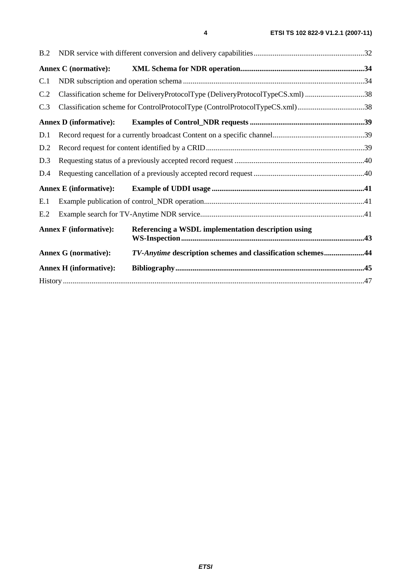| B.2 |                               |                                                                                |  |
|-----|-------------------------------|--------------------------------------------------------------------------------|--|
|     | <b>Annex C</b> (normative):   |                                                                                |  |
| C.1 |                               |                                                                                |  |
| C.2 |                               | Classification scheme for DeliveryProtocolType (DeliveryProtocolTypeCS.xml) 38 |  |
| C.3 |                               | Classification scheme for ControlProtocolType (ControlProtocolTypeCS.xml)38    |  |
|     | <b>Annex D</b> (informative): |                                                                                |  |
| D.1 |                               |                                                                                |  |
| D.2 |                               |                                                                                |  |
| D.3 |                               |                                                                                |  |
| D.4 |                               |                                                                                |  |
|     |                               |                                                                                |  |
| E.1 |                               |                                                                                |  |
| E.2 |                               |                                                                                |  |
|     | <b>Annex F</b> (informative): | Referencing a WSDL implementation description using                            |  |
|     | <b>Annex G</b> (normative):   | TV-Anytime description schemes and classification schemes44                    |  |
|     | <b>Annex H</b> (informative): |                                                                                |  |
|     |                               |                                                                                |  |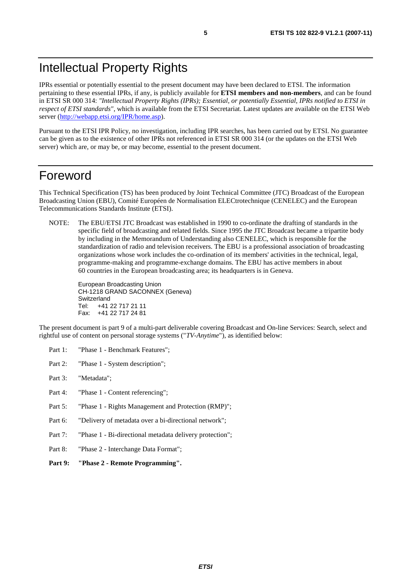### Intellectual Property Rights

IPRs essential or potentially essential to the present document may have been declared to ETSI. The information pertaining to these essential IPRs, if any, is publicly available for **ETSI members and non-members**, and can be found in ETSI SR 000 314: *"Intellectual Property Rights (IPRs); Essential, or potentially Essential, IPRs notified to ETSI in respect of ETSI standards"*, which is available from the ETSI Secretariat. Latest updates are available on the ETSI Web server ([http://webapp.etsi.org/IPR/home.asp\)](http://webapp.etsi.org/IPR/home.asp).

Pursuant to the ETSI IPR Policy, no investigation, including IPR searches, has been carried out by ETSI. No guarantee can be given as to the existence of other IPRs not referenced in ETSI SR 000 314 (or the updates on the ETSI Web server) which are, or may be, or may become, essential to the present document.

### Foreword

This Technical Specification (TS) has been produced by Joint Technical Committee (JTC) Broadcast of the European Broadcasting Union (EBU), Comité Européen de Normalisation ELECtrotechnique (CENELEC) and the European Telecommunications Standards Institute (ETSI).

NOTE: The EBU/ETSI JTC Broadcast was established in 1990 to co-ordinate the drafting of standards in the specific field of broadcasting and related fields. Since 1995 the JTC Broadcast became a tripartite body by including in the Memorandum of Understanding also CENELEC, which is responsible for the standardization of radio and television receivers. The EBU is a professional association of broadcasting organizations whose work includes the co-ordination of its members' activities in the technical, legal, programme-making and programme-exchange domains. The EBU has active members in about 60 countries in the European broadcasting area; its headquarters is in Geneva.

European Broadcasting Union CH-1218 GRAND SACONNEX (Geneva) Switzerland Tel: +41 22 717 21 11 Fax: +41 22 717 24 81

The present document is part 9 of a multi-part deliverable covering Broadcast and On-line Services: Search, select and rightful use of content on personal storage systems ("*TV-Anytime*"), as identified below:

- Part 1: "Phase 1 Benchmark Features":
- Part 2: "Phase 1 System description";
- Part 3: "Metadata";
- Part 4: "Phase 1 Content referencing":
- Part 5: "Phase 1 Rights Management and Protection (RMP)";
- Part 6: "Delivery of metadata over a bi-directional network";
- Part 7: "Phase 1 Bi-directional metadata delivery protection";
- Part 8: "Phase 2 Interchange Data Format";
- **Part 9: "Phase 2 Remote Programming".**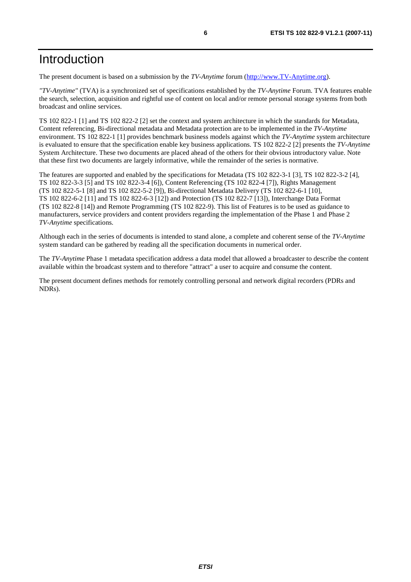### Introduction

The present document is based on a submission by the *TV-Anytime* forum ([http://www.TV-Anytime.org](http://www.tv-anytime.org/)).

*"TV-Anytime"* (TVA) is a synchronized set of specifications established by the *TV-Anytime* Forum. TVA features enable the search, selection, acquisition and rightful use of content on local and/or remote personal storage systems from both broadcast and online services.

TS 102 822-1 [1] and TS 102 822-2 [2] set the context and system architecture in which the standards for Metadata, Content referencing, Bi-directional metadata and Metadata protection are to be implemented in the *TV-Anytime* environment. TS 102 822-1 [1] provides benchmark business models against which the *TV-Anytime* system architecture is evaluated to ensure that the specification enable key business applications. TS 102 822-2 [2] presents the *TV-Anytime* System Architecture. These two documents are placed ahead of the others for their obvious introductory value. Note that these first two documents are largely informative, while the remainder of the series is normative.

The features are supported and enabled by the specifications for Metadata (TS 102 822-3-1 [3], TS 102 822-3-2 [4], TS 102 822-3-3 [5] and TS 102 822-3-4 [6]), Content Referencing (TS 102 822-4 [7]), Rights Management (TS 102 822-5-1 [8] and TS 102 822-5-2 [9]), Bi-directional Metadata Delivery (TS 102 822-6-1 [10], TS 102 822-6-2 [11] and TS 102 822-6-3 [12]) and Protection (TS 102 822-7 [13]), Interchange Data Format (TS 102 822-8 [14]) and Remote Programming (TS 102 822-9). This list of Features is to be used as guidance to manufacturers, service providers and content providers regarding the implementation of the Phase 1 and Phase 2 *TV-Anytime* specifications.

Although each in the series of documents is intended to stand alone, a complete and coherent sense of the *TV-Anytime* system standard can be gathered by reading all the specification documents in numerical order.

The *TV-Anytime* Phase 1 metadata specification address a data model that allowed a broadcaster to describe the content available within the broadcast system and to therefore "attract" a user to acquire and consume the content.

The present document defines methods for remotely controlling personal and network digital recorders (PDRs and NDRs).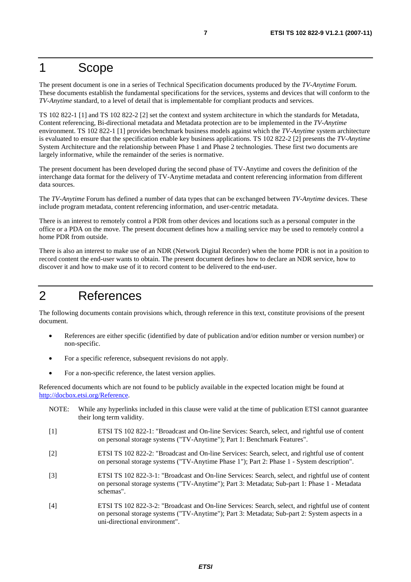### 1 Scope

The present document is one in a series of Technical Specification documents produced by the *TV-Anytime* Forum. These documents establish the fundamental specifications for the services, systems and devices that will conform to the *TV-Anytime* standard, to a level of detail that is implementable for compliant products and services.

TS 102 822-1 [1] and TS 102 822-2 [2] set the context and system architecture in which the standards for Metadata, Content referencing, Bi-directional metadata and Metadata protection are to be implemented in the *TV-Anytime* environment. TS 102 822-1 [1] provides benchmark business models against which the *TV-Anytime* system architecture is evaluated to ensure that the specification enable key business applications. TS 102 822-2 [2] presents the *TV-Anytime* System Architecture and the relationship between Phase 1 and Phase 2 technologies. These first two documents are largely informative, while the remainder of the series is normative.

The present document has been developed during the second phase of TV-Anytime and covers the definition of the interchange data format for the delivery of TV-Anytime metadata and content referencing information from different data sources.

The *TV-Anytime* Forum has defined a number of data types that can be exchanged between *TV-Anytime* devices. These include program metadata, content referencing information, and user-centric metadata.

There is an interest to remotely control a PDR from other devices and locations such as a personal computer in the office or a PDA on the move. The present document defines how a mailing service may be used to remotely control a home PDR from outside.

There is also an interest to make use of an NDR (Network Digital Recorder) when the home PDR is not in a position to record content the end-user wants to obtain. The present document defines how to declare an NDR service, how to discover it and how to make use of it to record content to be delivered to the end-user.

### 2 References

The following documents contain provisions which, through reference in this text, constitute provisions of the present document.

- References are either specific (identified by date of publication and/or edition number or version number) or non-specific.
- For a specific reference, subsequent revisions do not apply.
- For a non-specific reference, the latest version applies.

Referenced documents which are not found to be publicly available in the expected location might be found at <http://docbox.etsi.org/Reference>.

- NOTE: While any hyperlinks included in this clause were valid at the time of publication ETSI cannot guarantee their long term validity.
- [1] ETSI TS 102 822-1: "Broadcast and On-line Services: Search, select, and rightful use of content on personal storage systems ("TV-Anytime"); Part 1: Benchmark Features".
- [2] ETSI TS 102 822-2: "Broadcast and On-line Services: Search, select, and rightful use of content on personal storage systems ("TV-Anytime Phase 1"); Part 2: Phase 1 - System description".
- [3] ETSI TS 102 822-3-1: "Broadcast and On-line Services: Search, select, and rightful use of content on personal storage systems ("TV-Anytime"); Part 3: Metadata; Sub-part 1: Phase 1 - Metadata schemas".
- [4] ETSI TS 102 822-3-2: "Broadcast and On-line Services: Search, select, and rightful use of content on personal storage systems ("TV-Anytime"); Part 3: Metadata; Sub-part 2: System aspects in a uni-directional environment".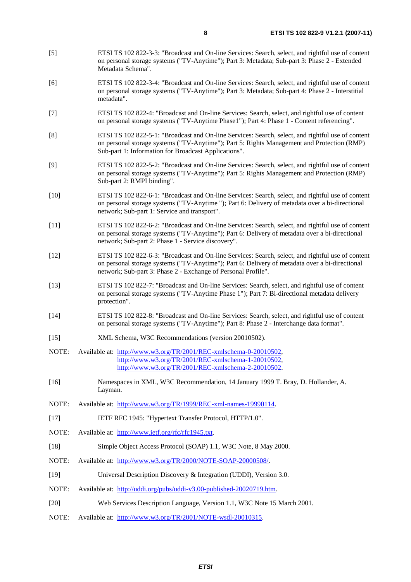- [5] ETSI TS 102 822-3-3: "Broadcast and On-line Services: Search, select, and rightful use of content on personal storage systems ("TV-Anytime"); Part 3: Metadata; Sub-part 3: Phase 2 - Extended Metadata Schema".
- [6] ETSI TS 102 822-3-4: "Broadcast and On-line Services: Search, select, and rightful use of content on personal storage systems ("TV-Anytime"); Part 3: Metadata; Sub-part 4: Phase 2 - Interstitial metadata".
- [7] ETSI TS 102 822-4: "Broadcast and On-line Services: Search, select, and rightful use of content on personal storage systems ("TV-Anytime Phase1"); Part 4: Phase 1 - Content referencing".
- [8] ETSI TS 102 822-5-1: "Broadcast and On-line Services: Search, select, and rightful use of content on personal storage systems ("TV-Anytime"); Part 5: Rights Management and Protection (RMP) Sub-part 1: Information for Broadcast Applications".
- [9] ETSI TS 102 822-5-2: "Broadcast and On-line Services: Search, select, and rightful use of content on personal storage systems ("TV-Anytime"); Part 5: Rights Management and Protection (RMP) Sub-part 2: RMPI binding".
- [10] ETSI TS 102 822-6-1: "Broadcast and On-line Services: Search, select, and rightful use of content on personal storage systems ("TV-Anytime "); Part 6: Delivery of metadata over a bi-directional network; Sub-part 1: Service and transport".
- [11] ETSI TS 102 822-6-2: "Broadcast and On-line Services: Search, select, and rightful use of content on personal storage systems ("TV-Anytime"); Part 6: Delivery of metadata over a bi-directional network; Sub-part 2: Phase 1 - Service discovery".
- [12] ETSI TS 102 822-6-3: "Broadcast and On-line Services: Search, select, and rightful use of content on personal storage systems ("TV-Anytime"); Part 6: Delivery of metadata over a bi-directional network; Sub-part 3: Phase 2 - Exchange of Personal Profile".
- [13] ETSI TS 102 822-7: "Broadcast and On-line Services: Search, select, and rightful use of content on personal storage systems ("TV-Anytime Phase 1"); Part 7: Bi-directional metadata delivery protection".
- [14] ETSI TS 102 822-8: "Broadcast and On-line Services: Search, select, and rightful use of content on personal storage systems ("TV-Anytime"); Part 8: Phase 2 - Interchange data format".
- [15] XML Schema, W3C Recommendations (version 20010502).
- NOTE: Available at: <http://www.w3.org/TR/2001/REC-xmlschema-0-20010502>, <http://www.w3.org/TR/2001/REC-xmlschema-1-20010502>, [http://www.w3.org/TR/2001/REC-xmlschema-2-20010502](http://www.w3.org/XML/Schema).
- [16] Namespaces in XML, W3C Recommendation, 14 January 1999 T. Bray, D. Hollander, A. Layman.
- NOTE: Available at: <http://www.w3.org/TR/1999/REC-xml-names-19990114>.
- [17] IETF RFC 1945: "Hypertext Transfer Protocol, HTTP/1.0".
- NOTE: Available at: <http://www.ietf.org/rfc/rfc1945.txt>.
- [18] Simple Object Access Protocol (SOAP) 1.1, W3C Note, 8 May 2000.
- NOTE: Available at: <http://www.w3.org/TR/2000/NOTE-SOAP-20000508/>.
- [19] Universal Description Discovery & Integration (UDDI), Version 3.0.
- NOTE: Available at: [http://uddi.org/pubs/uddi-v3.00-published-20020719.htm.](http://uddi.org/pubs/uddi-v3.00-published-20020719.htm)
- [20] Web Services Description Language, Version 1.1, W3C Note 15 March 2001.
- NOTE: Available at: <http://www.w3.org/TR/2001/NOTE-wsdl-20010315>.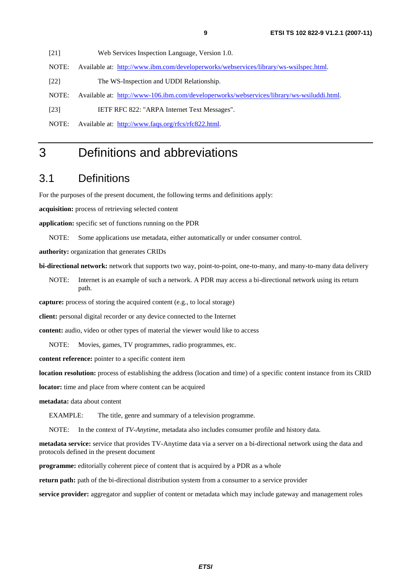[21] Web Services Inspection Language, Version 1.0.

NOTE: Available at: <http://www.ibm.com/developerworks/webservices/library/ws-wsilspec.html>.

[22] The WS-Inspection and UDDI Relationship.

NOTE: Available at: [http://www-106.ibm.com/developerworks/webservices/library/ws-wsiluddi.html.](http://www-106.ibm.com/developerworks/webservices/library/ws-wsiluddi.html)

[23] IETF RFC 822: "ARPA Internet Text Messages".

NOTE: Available at: [http://www.faqs.org/rfcs/rfc822.html.](http://www.faqs.org/rfcs/rfc822.html)

### 3 Definitions and abbreviations

### 3.1 Definitions

For the purposes of the present document, the following terms and definitions apply:

**acquisition:** process of retrieving selected content

**application:** specific set of functions running on the PDR

NOTE: Some applications use metadata, either automatically or under consumer control.

**authority:** organization that generates CRIDs

**bi-directional network:** network that supports two way, point-to-point, one-to-many, and many-to-many data delivery

NOTE: Internet is an example of such a network. A PDR may access a bi-directional network using its return path.

**capture:** process of storing the acquired content (e.g., to local storage)

**client:** personal digital recorder or any device connected to the Internet

**content:** audio, video or other types of material the viewer would like to access

NOTE: Movies, games, TV programmes, radio programmes, etc.

**content reference:** pointer to a specific content item

**location resolution:** process of establishing the address (location and time) of a specific content instance from its CRID

**locator:** time and place from where content can be acquired

**metadata:** data about content

EXAMPLE: The title, genre and summary of a television programme.

NOTE: In the context of *TV-Anytime*, metadata also includes consumer profile and history data.

**metadata service:** service that provides TV-Anytime data via a server on a bi-directional network using the data and protocols defined in the present document

**programme:** editorially coherent piece of content that is acquired by a PDR as a whole

**return path:** path of the bi-directional distribution system from a consumer to a service provider

**service provider:** aggregator and supplier of content or metadata which may include gateway and management roles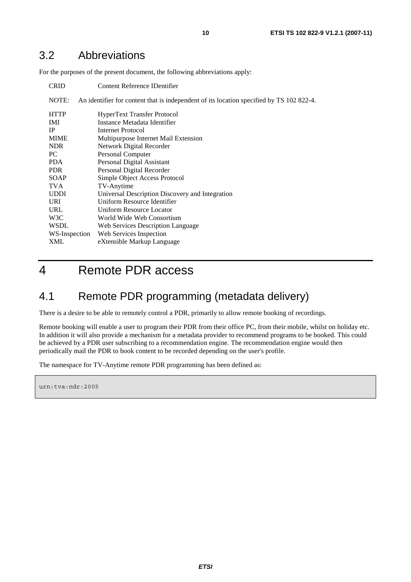### 3.2 Abbreviations

For the purposes of the present document, the following abbreviations apply:

| <b>CRID</b>   | Content Reference IDentifier                                                             |
|---------------|------------------------------------------------------------------------------------------|
| NOTE:         | An identifier for content that is independent of its location specified by TS 102 822-4. |
| <b>HTTP</b>   | HyperText Transfer Protocol                                                              |
| IMI           | Instance Metadata Identifier                                                             |
| <b>IP</b>     | Internet Protocol                                                                        |
| <b>MIME</b>   | Multipurpose Internet Mail Extension                                                     |
| <b>NDR</b>    | Network Digital Recorder                                                                 |
| PC.           | Personal Computer                                                                        |
| <b>PDA</b>    | Personal Digital Assistant                                                               |
| <b>PDR</b>    | Personal Digital Recorder                                                                |
| <b>SOAP</b>   | Simple Object Access Protocol                                                            |
| <b>TVA</b>    | TV-Anytime                                                                               |
| <b>UDDI</b>   | Universal Description Discovery and Integration                                          |
| <b>URI</b>    | Uniform Resource Identifier                                                              |
| URL           | Uniform Resource Locator                                                                 |
| W3C           | World Wide Web Consortium                                                                |
| <b>WSDL</b>   | Web Services Description Language                                                        |
| WS-Inspection | Web Services Inspection                                                                  |
| <b>XML</b>    | eXtensible Markup Language                                                               |

# 4 Remote PDR access

### 4.1 Remote PDR programming (metadata delivery)

There is a desire to be able to remotely control a PDR, primarily to allow remote booking of recordings.

Remote booking will enable a user to program their PDR from their office PC, from their mobile, whilst on holiday etc. In addition it will also provide a mechanism for a metadata provider to recommend programs to be booked. This could be achieved by a PDR user subscribing to a recommendation engine. The recommendation engine would then periodically mail the PDR to book content to be recorded depending on the user's profile.

The namespace for TV-Anytime remote PDR programming has been defined as:

urn:tva:ndr:2005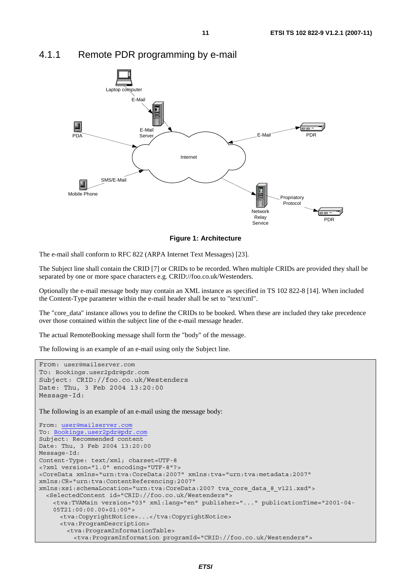

### 4.1.1 Remote PDR programming by e-mail

**Figure 1: Architecture** 

The e-mail shall conform to RFC 822 (ARPA Internet Text Messages) [23].

The Subject line shall contain the CRID [7] or CRIDs to be recorded. When multiple CRIDs are provided they shall be separated by one or more space characters e.g. CRID://foo.co.uk/Westenders.

Optionally the e-mail message body may contain an XML instance as specified in TS 102 822-8 [14]. When included the Content-Type parameter within the e-mail header shall be set to "text/xml".

The "core\_data" instance allows you to define the CRIDs to be booked. When these are included they take precedence over those contained within the subject line of the e-mail message header.

The actual RemoteBooking message shall form the "body" of the message.

The following is an example of an e-mail using only the Subject line.

```
From: user@mailserver.com
To: Bookings.user2pdr@pdr.com
Subject: CRID://foo.co.uk/Westenders 
Date: Thu, 3 Feb 2004 13:20:00 
Message-Id: 
The following is an example of an e-mail using the message body:
From: user@mailserver.com
To: Bookings.user2pdr@pdr.com
Subject: Recommended content 
Date: Thu, 3 Feb 2004 13:20:00 
Message-Id: 
Content-Type: text/xml; charset=UTF-8 
<?xml version="1.0" encoding="UTF-8"?> 
<CoreData xmlns="urn:tva:CoreData:2007" xmlns:tva="urn:tva:metadata:2007" 
xmlns:CR="urn:tva:ContentReferencing:2007" 
xmlns:xsi:schemaLocation="urn:tva:CoreData:2007 tva_core_data_8_v121.xsd"> 
   <SelectedContent id="CRID://foo.co.uk/Westenders"> 
     <tva:TVAMain version="03" xml:lang="en" publisher="..." publicationTime="2001-04- 
     05T21:00:00.00+01:00"> 
      <tva:CopyrightNotice>...</tva:CopyrightNotice> 
      <tva:ProgramDescription> 
         <tva:ProgramInformationTable> 
          <tva:ProgramInformation programId="CRID://foo.co.uk/Westenders">
```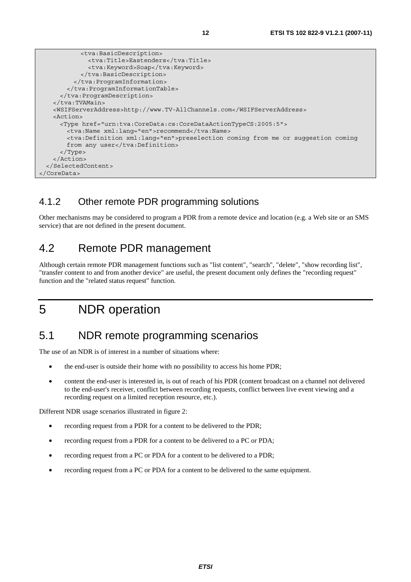```
 <tva:BasicDescription> 
              <tva:Title>Eastenders</tva:Title> 
              <tva:Keyword>Soap</tva:Keyword> 
            </tva:BasicDescription> 
          </tva:ProgramInformation> 
        </tva:ProgramInformationTable> 
      </tva:ProgramDescription> 
    </tva:TVAMain> 
    <WSIFServerAddress>http://www.TV-AllChannels.com</WSIFServerAddress> 
    <Action> 
      <Type href="urn:tva:CoreData:cs:CoreDataActionTypeCS:2005:5"> 
       <tva:Name xml:lang="en">recommend</tva:Name>
        <tva:Definition xml:lang="en">preselection coming from me or suggestion coming 
       from any user</tva:Definition>
      </Type> 
    </Action> 
  </SelectedContent> 
</CoreData>
```
### 4.1.2 Other remote PDR programming solutions

Other mechanisms may be considered to program a PDR from a remote device and location (e.g. a Web site or an SMS service) that are not defined in the present document.

### 4.2 Remote PDR management

Although certain remote PDR management functions such as "list content", "search", "delete", "show recording list", "transfer content to and from another device" are useful, the present document only defines the "recording request" function and the "related status request" function.

# 5 NDR operation

### 5.1 NDR remote programming scenarios

The use of an NDR is of interest in a number of situations where:

- the end-user is outside their home with no possibility to access his home PDR;
- content the end-user is interested in, is out of reach of his PDR (content broadcast on a channel not delivered to the end-user's receiver, conflict between recording requests, conflict between live event viewing and a recording request on a limited reception resource, etc.).

Different NDR usage scenarios illustrated in figure 2:

- recording request from a PDR for a content to be delivered to the PDR;
- recording request from a PDR for a content to be delivered to a PC or PDA;
- recording request from a PC or PDA for a content to be delivered to a PDR;
- recording request from a PC or PDA for a content to be delivered to the same equipment.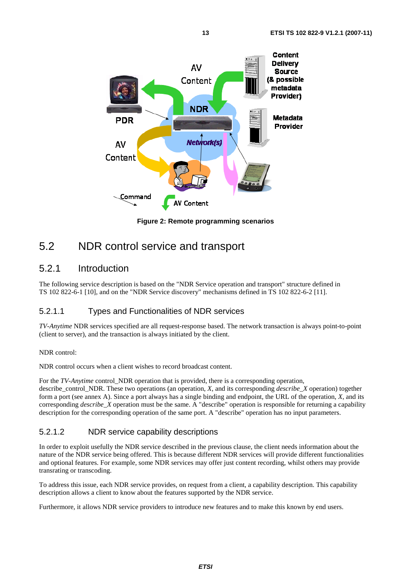

**Figure 2: Remote programming scenarios** 

### 5.2 NDR control service and transport

### 5.2.1 Introduction

The following service description is based on the "NDR Service operation and transport" structure defined in TS 102 822-6-1 [10], and on the "NDR Service discovery" mechanisms defined in TS 102 822-6-2 [11].

### 5.2.1.1 Types and Functionalities of NDR services

*TV-Anytime* NDR services specified are all request-response based. The network transaction is always point-to-point (client to server), and the transaction is always initiated by the client.

#### NDR control:

NDR control occurs when a client wishes to record broadcast content.

For the *TV-Anytime* control\_NDR operation that is provided, there is a corresponding operation, describe\_control\_NDR. These two operations (an operation, *X*, and its corresponding *describe*\_*X* operation) together form a port (see annex A). Since a port always has a single binding and endpoint, the URL of the operation, *X*, and its corresponding *describe\_X* operation must be the same. A "describe" operation is responsible for returning a capability description for the corresponding operation of the same port. A "describe" operation has no input parameters.

#### 5.2.1.2 NDR service capability descriptions

In order to exploit usefully the NDR service described in the previous clause, the client needs information about the nature of the NDR service being offered. This is because different NDR services will provide different functionalities and optional features. For example, some NDR services may offer just content recording, whilst others may provide transrating or transcoding.

To address this issue, each NDR service provides, on request from a client, a capability description. This capability description allows a client to know about the features supported by the NDR service.

Furthermore, it allows NDR service providers to introduce new features and to make this known by end users.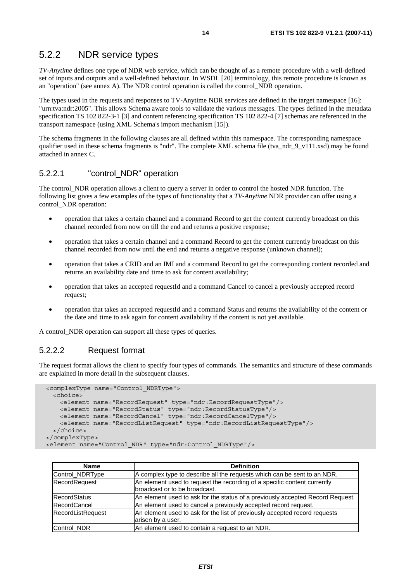### 5.2.2 NDR service types

*TV-Anytime* defines one type of NDR web service, which can be thought of as a remote procedure with a well-defined set of inputs and outputs and a well-defined behaviour. In WSDL [20] terminology, this remote procedure is known as an "operation" (see annex A). The NDR control operation is called the control\_NDR operation.

The types used in the requests and responses to TV-Anytime NDR services are defined in the target namespace [16]: "urn:tva:ndr:2005". This allows Schema aware tools to validate the various messages. The types defined in the metadata specification TS 102 822-3-1 [3] and content referencing specification TS 102 822-4 [7] schemas are referenced in the transport namespace (using XML Schema's import mechanism [15]).

The schema fragments in the following clauses are all defined within this namespace. The corresponding namespace qualifier used in these schema fragments is "ndr". The complete XML schema file (tva\_ndr\_9\_v111.xsd) may be found attached in annex C.

#### 5.2.2.1 "control\_NDR" operation

The control NDR operation allows a client to query a server in order to control the hosted NDR function. The following list gives a few examples of the types of functionality that a *TV-Anytime* NDR provider can offer using a control\_NDR operation:

- operation that takes a certain channel and a command Record to get the content currently broadcast on this channel recorded from now on till the end and returns a positive response;
- operation that takes a certain channel and a command Record to get the content currently broadcast on this channel recorded from now until the end and returns a negative response (unknown channel);
- operation that takes a CRID and an IMI and a command Record to get the corresponding content recorded and returns an availability date and time to ask for content availability;
- operation that takes an accepted requestId and a command Cancel to cancel a previously accepted record request;
- operation that takes an accepted requestId and a command Status and returns the availability of the content or the date and time to ask again for content availability if the content is not yet available.

A control\_NDR operation can support all these types of queries.

#### 5.2.2.2 Request format

The request format allows the client to specify four types of commands. The semantics and structure of these commands are explained in more detail in the subsequent clauses.

```
 <complexType name="Control_NDRType"> 
  <choice> 
    <element name="RecordRequest" type="ndr:RecordRequestType"/> 
    <element name="RecordStatus" type="ndr:RecordStatusType"/> 
    <element name="RecordCancel" type="ndr:RecordCancelType"/> 
     <element name="RecordListRequest" type="ndr:RecordListRequestType"/> 
  </choice> 
 </complexType> 
 <element name="Control_NDR" type="ndr:Control_NDRType"/>
```

| <b>Name</b>              | <b>Definition</b>                                                                                         |
|--------------------------|-----------------------------------------------------------------------------------------------------------|
| Control NDRType          | A complex type to describe all the requests which can be sent to an NDR.                                  |
| <b>RecordRequest</b>     | An element used to request the recording of a specific content currently<br>broadcast or to be broadcast. |
| <b>RecordStatus</b>      | An element used to ask for the status of a previously accepted Record Request.                            |
| RecordCancel             | An element used to cancel a previously accepted record request.                                           |
| <b>RecordListRequest</b> | An element used to ask for the list of previously accepted record requests<br>arisen by a user.           |
| Control NDR              | An element used to contain a request to an NDR.                                                           |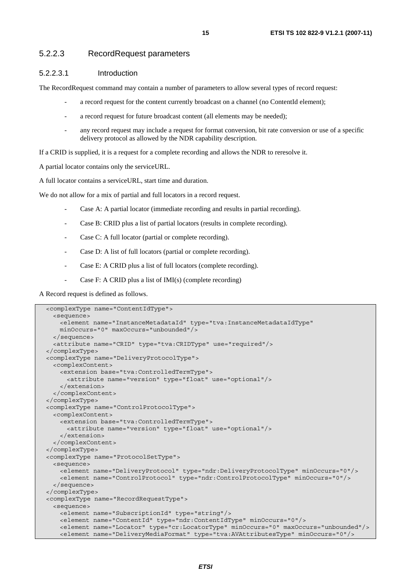#### 5.2.2.3 RecordRequest parameters

#### 5.2.2.3.1 Introduction

The RecordRequest command may contain a number of parameters to allow several types of record request:

- a record request for the content currently broadcast on a channel (no ContentId element);
- a record request for future broadcast content (all elements may be needed);
- any record request may include a request for format conversion, bit rate conversion or use of a specific delivery protocol as allowed by the NDR capability description.

If a CRID is supplied, it is a request for a complete recording and allows the NDR to reresolve it.

A partial locator contains only the serviceURL.

A full locator contains a serviceURL, start time and duration.

We do not allow for a mix of partial and full locators in a record request.

- Case A: A partial locator (immediate recording and results in partial recording).
- Case B: CRID plus a list of partial locators (results in complete recording).
- Case C: A full locator (partial or complete recording).
- Case D: A list of full locators (partial or complete recording).
- Case E: A CRID plus a list of full locators (complete recording).
- Case F: A CRID plus a list of IMI(s) (complete recording)

A Record request is defined as follows.

```
 <complexType name="ContentIdType"> 
  <sequence> 
    <element name="InstanceMetadataId" type="tva:InstanceMetadataIdType" 
    minOccurs="0" maxOccurs="unbounded"/> 
  </sequence> 
  <attribute name="CRID" type="tva:CRIDType" use="required"/> 
 </complexType> 
 <complexType name="DeliveryProtocolType"> 
  <complexContent> 
    <extension base="tva:ControlledTermType"> 
      <attribute name="version" type="float" use="optional"/> 
    </extension> 
  </complexContent> 
 </complexType> 
 <complexType name="ControlProtocolType"> 
   <complexContent> 
    <extension base="tva:ControlledTermType"> 
      <attribute name="version" type="float" use="optional"/> 
    </extension> 
  </complexContent> 
 </complexType> 
 <complexType name="ProtocolSetType"> 
  <sequence> 
    <element name="DeliveryProtocol" type="ndr:DeliveryProtocolType" minOccurs="0"/> 
    <element name="ControlProtocol" type="ndr:ControlProtocolType" minOccurs="0"/> 
   </sequence> 
 </complexType> 
 <complexType name="RecordRequestType"> 
  <sequence> 
    <element name="SubscriptionId" type="string"/> 
    <element name="ContentId" type="ndr:ContentIdType" minOccurs="0"/> 
    <element name="Locator" type="cr:LocatorType" minOccurs="0" maxOccurs="unbounded"/> 
     <element name="DeliveryMediaFormat" type="tva:AVAttributesType" minOccurs="0"/>
```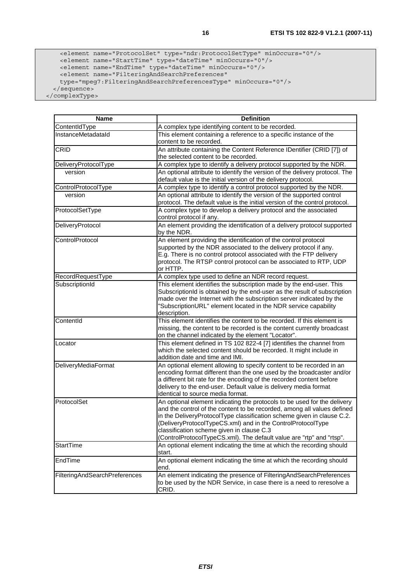```
 <element name="ProtocolSet" type="ndr:ProtocolSetType" minOccurs="0"/> 
 <element name="StartTime" type="dateTime" minOccurs="0"/> 
 <element name="EndTime" type="dateTime" minOccurs="0"/> 
      <element name="FilteringAndSearchPreferences" 
      type="mpeg7:FilteringAndSearchPreferencesType" minOccurs="0"/> 
    </sequence>
```
</complexType>

| <b>Name</b>                   | <b>Definition</b>                                                                                                                                                                                                                                                                                                                                                                                                 |
|-------------------------------|-------------------------------------------------------------------------------------------------------------------------------------------------------------------------------------------------------------------------------------------------------------------------------------------------------------------------------------------------------------------------------------------------------------------|
| ContentIdType                 | A complex type identifying content to be recorded.                                                                                                                                                                                                                                                                                                                                                                |
| InstanceMetadataId            | This element containing a reference to a specific instance of the<br>content to be recorded.                                                                                                                                                                                                                                                                                                                      |
| <b>CRID</b>                   | An attribute containing the Content Reference IDentifier (CRID [7]) of<br>the selected content to be recorded.                                                                                                                                                                                                                                                                                                    |
| DeliveryProtocolType          | A complex type to identify a delivery protocol supported by the NDR.                                                                                                                                                                                                                                                                                                                                              |
| version                       | An optional attribute to identify the version of the delivery protocol. The<br>default value is the initial version of the delivery protocol.                                                                                                                                                                                                                                                                     |
| ControlProtocolType           | A complex type to identify a control protocol supported by the NDR.                                                                                                                                                                                                                                                                                                                                               |
| version                       | An optional attribute to identify the version of the supported control<br>protocol. The default value is the initial version of the control protocol.                                                                                                                                                                                                                                                             |
| ProtocolSetType               | A complex type to develop a delivery protocol and the associated<br>control protocol if any.                                                                                                                                                                                                                                                                                                                      |
| DeliveryProtocol              | An element providing the identification of a delivery protocol supported<br>by the NDR.                                                                                                                                                                                                                                                                                                                           |
| ControlProtocol               | An element providing the identification of the control protocol<br>supported by the NDR associated to the delivery protocol if any.<br>E.g. There is no control protocol associated with the FTP delivery<br>protocol. The RTSP control protocol can be associated to RTP, UDP<br>or HTTP.                                                                                                                        |
| RecordRequestType             | A complex type used to define an NDR record request.                                                                                                                                                                                                                                                                                                                                                              |
| SubscriptionId                | This element identifies the subscription made by the end-user. This<br>SubscriptionId is obtained by the end-user as the result of subscription<br>made over the Internet with the subscription server indicated by the<br>"SubscriptionURL" element located in the NDR service capability<br>description.                                                                                                        |
| ContentId                     | This element identifies the content to be recorded. If this element is<br>missing, the content to be recorded is the content currently broadcast<br>on the channel indicated by the element "Locator".                                                                                                                                                                                                            |
| Locator                       | This element defined in TS 102 822-4 [7] identifies the channel from<br>which the selected content should be recorded. It might include in<br>addition date and time and IMI.                                                                                                                                                                                                                                     |
| DeliveryMediaFormat           | An optional element allowing to specify content to be recorded in an<br>encoding format different than the one used by the broadcaster and/or<br>a different bit rate for the encoding of the recorded content before<br>delivery to the end-user. Default value is delivery media format<br>identical to source media format.                                                                                    |
| ProtocolSet                   | An optional element indicating the protocols to be used for the delivery<br>and the control of the content to be recorded, among all values defined<br>in the DeliveryProtocolType classification scheme given in clause C.2.<br>(DeliveryProtocolTypeCS.xml) and in the ControlProtocolType<br>classification scheme given in clause C.3<br>(ControlProtocolTypeCS.xml). The default value are "rtp" and "rtsp". |
| <b>StartTime</b>              | An optional element indicating the time at which the recording should<br>start.                                                                                                                                                                                                                                                                                                                                   |
| EndTime                       | An optional element indicating the time at which the recording should<br>end.                                                                                                                                                                                                                                                                                                                                     |
| FilteringAndSearchPreferences | An element indicating the presence of Filtering And Search Preferences<br>to be used by the NDR Service, in case there is a need to reresolve a<br>CRID.                                                                                                                                                                                                                                                          |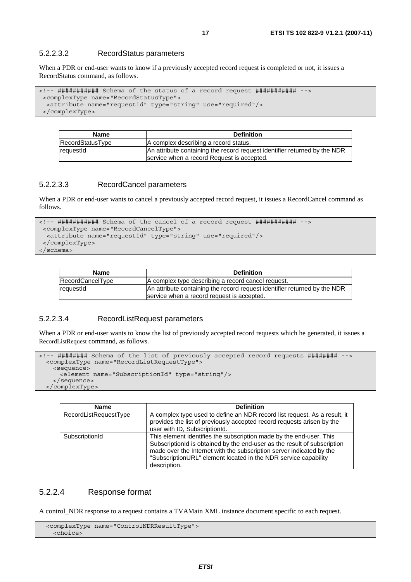#### 5.2.2.3.2 RecordStatus parameters

When a PDR or end-user wants to know if a previously accepted record request is completed or not, it issues a RecordStatus command, as follows.

```
<!-- ########### Schema of the status of a record request ########### --> 
  <complexType name="RecordStatusType"> 
   <attribute name="requestId" type="string" use="required"/> 
  </complexType>
```

| <b>Name</b>      | <b>Definition</b>                                                                                                       |
|------------------|-------------------------------------------------------------------------------------------------------------------------|
| RecordStatusType | A complex describing a record status.                                                                                   |
| requestid        | An attribute containing the record request identifier returned by the NDR<br>service when a record Request is accepted. |

#### 5.2.2.3.3 RecordCancel parameters

When a PDR or end-user wants to cancel a previously accepted record request, it issues a RecordCancel command as follows.

```
<!-- ########### Schema of the cancel of a record request ########### --> 
  <complexType name="RecordCancelType"> 
   <attribute name="requestId" type="string" use="required"/> 
  </complexType>
```
</schema>

| <b>Name</b>      | <b>Definition</b>                                                                                                       |
|------------------|-------------------------------------------------------------------------------------------------------------------------|
| RecordCancelType | A complex type describing a record cancel request.                                                                      |
| requestid        | An attribute containing the record request identifier returned by the NDR<br>service when a record request is accepted. |

#### 5.2.2.3.4 RecordListRequest parameters

When a PDR or end-user wants to know the list of previously accepted record requests which he generated, it issues a RecordListRequest command, as follows.

```
<!-- ######## Schema of the list of previously accepted record requests ######## --> 
  <complexType name="RecordListRequestType"> 
    <sequence> 
      <element name="SubscriptionId" type="string"/> 
    </sequence> 
  </complexType>
```

| <b>Name</b>           | <b>Definition</b>                                                                                                                                                                                                                                                                                          |
|-----------------------|------------------------------------------------------------------------------------------------------------------------------------------------------------------------------------------------------------------------------------------------------------------------------------------------------------|
| RecordListRequestType | A complex type used to define an NDR record list request. As a result, it<br>provides the list of previously accepted record requests arisen by the<br>user with ID, SubscriptionId.                                                                                                                       |
| SubscriptionId        | This element identifies the subscription made by the end-user. This<br>SubscriptionId is obtained by the end-user as the result of subscription<br>made over the Internet with the subscription server indicated by the<br>"SubscriptionURL" element located in the NDR service capability<br>description. |

#### 5.2.2.4 Response format

A control\_NDR response to a request contains a TVAMain XML instance document specific to each request.

```
 <complexType name="ControlNDRResultType"> 
  <choice>
```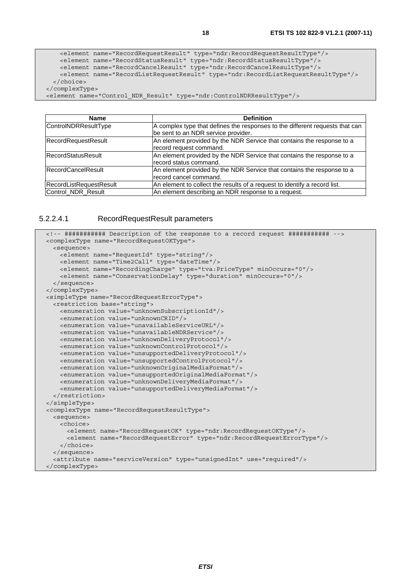```
 <element name="RecordRequestResult" type="ndr:RecordRequestResultType"/> 
    <element name="RecordStatusResult" type="ndr:RecordStatusResultType"/> 
    <element name="RecordCancelResult" type="ndr:RecordCancelResultType"/> 
    <element name="RecordListRequestResult" type="ndr:RecordListRequestResultType"/> 
  </choice> 
 </complexType>
```
<element name="Control\_NDR\_Result" type="ndr:ControlNDRResultType"/>

| Name                       | <b>Definition</b>                                                            |
|----------------------------|------------------------------------------------------------------------------|
| ControlNDRResultType       | A complex type that defines the responses to the different requests that can |
|                            | be sent to an NDR service provider.                                          |
| <b>RecordRequestResult</b> | An element provided by the NDR Service that contains the response to a       |
|                            | record request command.                                                      |
| RecordStatusResult         | An element provided by the NDR Service that contains the response to a       |
|                            | record status command.                                                       |
| RecordCancelResult         | An element provided by the NDR Service that contains the response to a       |
|                            | record cancel command.                                                       |
| RecordListRequestResult    | An element to collect the results of a request to identify a record list.    |
| Control_NDR_Result         | An element describing an NDR response to a request.                          |

5.2.2.4.1 RecordRequestResult parameters

```
 <!-- ########### Description of the response to a record request ########### --> 
 <complexType name="RecordRequestOKType"> 
  <sequence> 
    <element name="RequestId" type="string"/> 
    <element name="Time2Call" type="dateTime"/> 
    <element name="RecordingCharge" type="tva:PriceType" minOccurs="0"/> 
    <element name="ConservationDelay" type="duration" minOccurs="0"/> 
   </sequence> 
 </complexType> 
 <simpleType name="RecordRequestErrorType"> 
  <restriction base="string"> 
    <enumeration value="unknownSubscriptionId"/> 
    <enumeration value="unknownCRID"/> 
    <enumeration value="unavailableServiceURL"/> 
    <enumeration value="unavailableNDRService"/> 
    <enumeration value="unknownDeliveryProtocol"/> 
    <enumeration value="unknownControlProtocol"/> 
    <enumeration value="unsupportedDeliveryProtocol"/> 
    <enumeration value="unsupportedControlProtocol"/> 
    <enumeration value="unknownOriginalMediaFormat"/> 
    <enumeration value="unsupportedOriginalMediaFormat"/> 
    <enumeration value="unknownDeliveryMediaFormat"/> 
    <enumeration value="unsupportedDeliveryMediaFormat"/> 
   </restriction> 
 </simpleType> 
 <complexType name="RecordRequestResultType"> 
  <sequence> 
    <choice> 
      <element name="RecordRequestOK" type="ndr:RecordRequestOKType"/> 
       <element name="RecordRequestError" type="ndr:RecordRequestErrorType"/> 
     </choice> 
   </sequence> 
   <attribute name="serviceVersion" type="unsignedInt" use="required"/> 
 </complexType>
```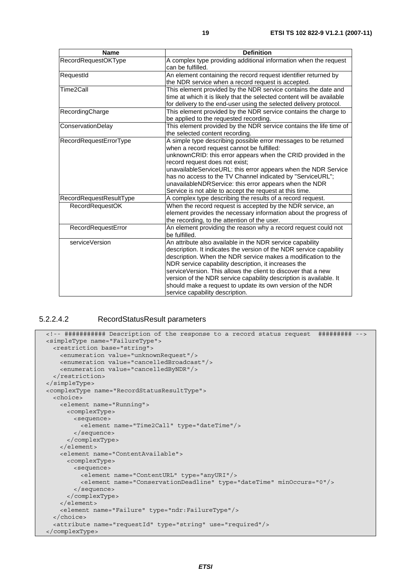| <b>Name</b>             | <b>Definition</b>                                                                                                                                                                                                                                                                                                                                                                                                                                                                                 |
|-------------------------|---------------------------------------------------------------------------------------------------------------------------------------------------------------------------------------------------------------------------------------------------------------------------------------------------------------------------------------------------------------------------------------------------------------------------------------------------------------------------------------------------|
| RecordRequestOKType     | A complex type providing additional information when the request<br>can be fulfilled.                                                                                                                                                                                                                                                                                                                                                                                                             |
| RequestId               | An element containing the record request identifier returned by<br>the NDR service when a record request is accepted.                                                                                                                                                                                                                                                                                                                                                                             |
| Time2Call               | This element provided by the NDR service contains the date and<br>time at which it is likely that the selected content will be available<br>for delivery to the end-user using the selected delivery protocol.                                                                                                                                                                                                                                                                                    |
| RecordingCharge         | This element provided by the NDR service contains the charge to<br>be applied to the requested recording.                                                                                                                                                                                                                                                                                                                                                                                         |
| ConservationDelay       | This element provided by the NDR service contains the life time of<br>the selected content recording.                                                                                                                                                                                                                                                                                                                                                                                             |
| RecordRequestErrorType  | A simple type describing possible error messages to be returned<br>when a record request cannot be fulfilled:<br>unknownCRID: this error appears when the CRID provided in the<br>record request does not exist;<br>unavailableServiceURL: this error appears when the NDR Service<br>has no access to the TV Channel indicated by "ServiceURL";<br>unavailableNDRService: this error appears when the NDR<br>Service is not able to accept the request at this time.                             |
| RecordRequestResultType | A complex type describing the results of a record request.                                                                                                                                                                                                                                                                                                                                                                                                                                        |
| <b>RecordRequestOK</b>  | When the record request is accepted by the NDR service, an<br>element provides the necessary information about the progress of<br>the recording, to the attention of the user.                                                                                                                                                                                                                                                                                                                    |
| RecordRequestError      | An element providing the reason why a record request could not<br>be fulfilled.                                                                                                                                                                                                                                                                                                                                                                                                                   |
| serviceVersion          | An attribute also available in the NDR service capability<br>description. It indicates the version of the NDR service capability<br>description. When the NDR service makes a modification to the<br>NDR service capability description, it increases the<br>serviceVersion. This allows the client to discover that a new<br>version of the NDR service capability description is available. It<br>should make a request to update its own version of the NDR<br>service capability description. |

#### 5.2.2.4.2 RecordStatusResult parameters

```
 <!-- ########### Description of the response to a record status request ######### --> 
 <simpleType name="FailureType"> 
  <restriction base="string"> 
    <enumeration value="unknownRequest"/> 
    <enumeration value="cancelledBroadcast"/> 
    <enumeration value="cancelledByNDR"/> 
  </restriction> 
 </simpleType> 
 <complexType name="RecordStatusResultType"> 
  <choice> 
    <element name="Running"> 
      <complexType> 
        <sequence> 
          <element name="Time2Call" type="dateTime"/> 
        </sequence> 
      </complexType> 
    </element> 
    <element name="ContentAvailable"> 
       <complexType> 
        <sequence> 
          <element name="ContentURL" type="anyURI"/> 
          <element name="ConservationDeadline" type="dateTime" minOccurs="0"/> 
        </sequence> 
       </complexType> 
    </element> 
    <element name="Failure" type="ndr:FailureType"/> 
  </choice> 
   <attribute name="requestId" type="string" use="required"/> 
 </complexType>
```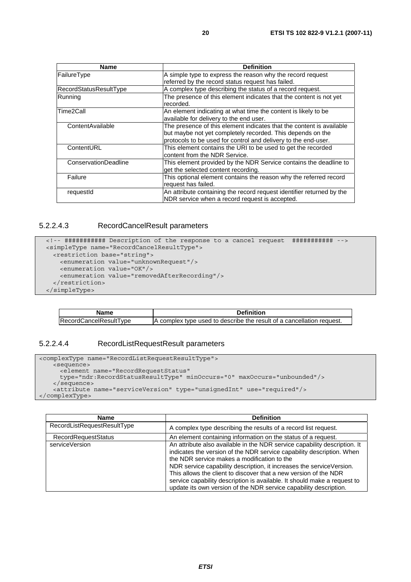| <b>Name</b>                 | <b>Definition</b>                                                     |
|-----------------------------|-----------------------------------------------------------------------|
| FailureType                 | A simple type to express the reason why the record request            |
|                             | referred by the record status request has failed.                     |
| RecordStatusResultType      | A complex type describing the status of a record request.             |
| Running                     | The presence of this element indicates that the content is not yet    |
|                             | recorded.                                                             |
| lTime2Call                  | An element indicating at what time the content is likely to be        |
|                             | available for delivery to the end user.                               |
| ContentAvailable            | The presence of this element indicates that the content is available  |
|                             | but maybe not yet completely recorded. This depends on the            |
|                             | protocols to be used for control and delivery to the end-user.        |
| ContentURL                  | This element contains the URI to be used to get the recorded          |
|                             | content from the NDR Service.                                         |
| <b>ConservationDeadline</b> | This element provided by the NDR Service contains the deadline to     |
|                             | get the selected content recording.                                   |
| Failure                     | This optional element contains the reason why the referred record     |
|                             | request has failed.                                                   |
| requestId                   | An attribute containing the record request identifier returned by the |
|                             | NDR service when a record request is accepted.                        |

#### 5.2.2.4.3 RecordCancelResult parameters

```
 <!-- ########### Description of the response to a cancel request ########### --> 
 <simpleType name="RecordCancelResultType"> 
  <restriction base="string"> 
    <enumeration value="unknownRequest"/> 
    <enumeration value="OK"/> 
    <enumeration value="removedAfterRecording"/> 
   </restriction> 
 </simpleType>
```

| <b>Name</b>            | <b>Definition</b>                                                     |
|------------------------|-----------------------------------------------------------------------|
| RecordCancelResultType | A complex type used to describe the result of a cancellation request. |

#### 5.2.2.4.4 RecordListRequestResult parameters

```
<complexType name="RecordListRequestResultType"> 
    <sequence> 
      <element name="RecordRequestStatus" 
      type="ndr:RecordStatusResultType" minOccurs="0" maxOccurs="unbounded"/> 
    </sequence> 
    <attribute name="serviceVersion" type="unsignedInt" use="required"/> 
</complexType>
```

| <b>Name</b>                 | <b>Definition</b>                                                                                                                                                                                                                                                                                                                                                                                                                                                                              |
|-----------------------------|------------------------------------------------------------------------------------------------------------------------------------------------------------------------------------------------------------------------------------------------------------------------------------------------------------------------------------------------------------------------------------------------------------------------------------------------------------------------------------------------|
| RecordListRequestResultType | A complex type describing the results of a record list request.                                                                                                                                                                                                                                                                                                                                                                                                                                |
| <b>RecordRequestStatus</b>  | An element containing information on the status of a request.                                                                                                                                                                                                                                                                                                                                                                                                                                  |
| serviceVersion              | An attribute also available in the NDR service capability description. It<br>indicates the version of the NDR service capability description. When<br>the NDR service makes a modification to the<br>NDR service capability description, it increases the serviceVersion.<br>This allows the client to discover that a new version of the NDR<br>service capability description is available. It should make a request to<br>update its own version of the NDR service capability description. |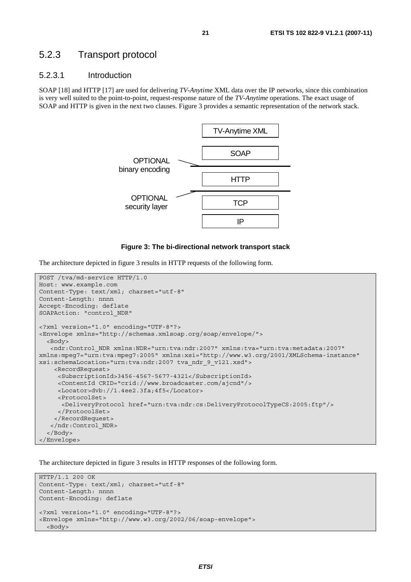#### 5.2.3 Transport protocol

#### 5.2.3.1 Introduction

SOAP [18] and HTTP [17] are used for delivering *TV-Anytime* XML data over the IP networks, since this combination is very well suited to the point-to-point, request-response nature of the *TV-Anytime* operations. The exact usage of SOAP and HTTP is given in the next two clauses. Figure 3 provides a semantic representation of the network stack.



#### **Figure 3: The bi-directional network transport stack**

The architecture depicted in figure 3 results in HTTP requests of the following form.

```
POST /tva/md-service HTTP/1.0 
Host: www.example.com 
Content-Type: text/xml; charset="utf-8" 
Content-Length: nnnn 
Accept-Encoding: deflate 
SOAPAction: "control_NDR" 
<?xml version="1.0" encoding="UTF-8"?> 
<Envelope xmlns="http://schemas.xmlsoap.org/soap/envelope/"> 
   <Body> 
    <ndr:Control_NDR xmlns:NDR="urn:tva:ndr:2007" xmlns:tva="urn:tva:metadata:2007" 
xmlns:mpeg7="urn:tva:mpeg7:2005" xmlns:xsi="http://www.w3.org/2001/XMLSchema-instance" 
xsi:schemaLocation="urn:tva:ndr:2007 tva_ndr_9_v121.xsd"> 
     <RecordRequest> 
      <SubscriptionId>3456-4567-5677-4321</SubscriptionId> 
      <ContentId CRID="crid://www.broadcaster.com/ajcnd"/> 
      <Locator>dvb://1.4ee2.3fa;4f5</Locator> 
      <ProtocolSet> 
       <DeliveryProtocol href="urn:tva:ndr:cs:DeliveryProtocolTypeCS:2005:ftp"/> 
      </ProtocolSet> 
     </RecordRequest> 
    </ndr:Control_NDR> 
   </Body> 
</Envelope>
```
The architecture depicted in figure 3 results in HTTP responses of the following form.

```
HTTP/1.1 200 OK 
Content-Type: text/xml; charset="utf-8" 
Content-Length: nnnn 
Content-Encoding: deflate 
<?xml version="1.0" encoding="UTF-8"?> 
<Envelope xmlns="http://www.w3.org/2002/06/soap-envelope"> 
   <Body>
```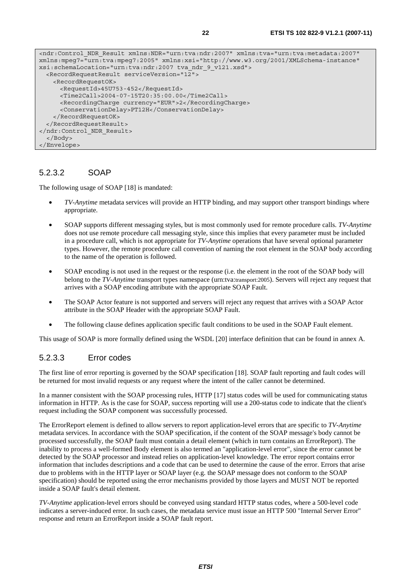```
<ndr:Control_NDR_Result xmlns:NDR="urn:tva:ndr:2007" xmlns:tva="urn:tva:metadata:2007" 
xmlns:mpeg7="urn:tva:mpeg7:2005" xmlns:xsi="http://www.w3.org/2001/XMLSchema-instance" 
xsi:schemaLocation="urn:tva:ndr:2007 tva_ndr_9_v121.xsd"> 
   <RecordRequestResult serviceVersion="12"> 
    <RecordRequestOK> 
       <RequestId>45U753-452</RequestId> 
      <Time2Call>2004-07-15T20:35:00.00</Time2Call> 
      <RecordingCharge currency="EUR">2</RecordingCharge> 
      <ConservationDelay>PT12H</ConservationDelay> 
    </RecordRequestOK> 
   </RecordRequestResult> 
</ndr:Control_NDR_Result> 
  </Body> 
</Envelope>
```
#### 5.2.3.2 SOAP

The following usage of SOAP [18] is mandated:

- *TV-Anytime* metadata services will provide an HTTP binding, and may support other transport bindings where appropriate.
- SOAP supports different messaging styles, but is most commonly used for remote procedure calls. *TV-Anytime* does not use remote procedure call messaging style, since this implies that every parameter must be included in a procedure call, which is not appropriate for *TV-Anytime* operations that have several optional parameter types. However, the remote procedure call convention of naming the root element in the SOAP body according to the name of the operation is followed.
- SOAP encoding is not used in the request or the response (i.e. the element in the root of the SOAP body will belong to the *TV-Anytime* transport types namespace (urn:tva:transport:2005). Servers will reject any request that arrives with a SOAP encoding attribute with the appropriate SOAP Fault.
- The SOAP Actor feature is not supported and servers will reject any request that arrives with a SOAP Actor attribute in the SOAP Header with the appropriate SOAP Fault.
- The following clause defines application specific fault conditions to be used in the SOAP Fault element.

This usage of SOAP is more formally defined using the WSDL [20] interface definition that can be found in annex A.

#### 5.2.3.3 Error codes

The first line of error reporting is governed by the SOAP specification [18]. SOAP fault reporting and fault codes will be returned for most invalid requests or any request where the intent of the caller cannot be determined.

In a manner consistent with the SOAP processing rules, HTTP [17] status codes will be used for communicating status information in HTTP. As is the case for SOAP, success reporting will use a 200-status code to indicate that the client's request including the SOAP component was successfully processed.

The ErrorReport element is defined to allow servers to report application-level errors that are specific to *TV-Anytime* metadata services. In accordance with the SOAP specification, if the content of the SOAP message's body cannot be processed successfully, the SOAP fault must contain a detail element (which in turn contains an ErrorReport). The inability to process a well-formed Body element is also termed an "application-level error", since the error cannot be detected by the SOAP processor and instead relies on application-level knowledge. The error report contains error information that includes descriptions and a code that can be used to determine the cause of the error. Errors that arise due to problems with in the HTTP layer or SOAP layer (e.g. the SOAP message does not conform to the SOAP specification) should be reported using the error mechanisms provided by those layers and MUST NOT be reported inside a SOAP fault's detail element.

*TV-Anytime* application-level errors should be conveyed using standard HTTP status codes, where a 500-level code indicates a server-induced error. In such cases, the metadata service must issue an HTTP 500 "Internal Server Error" response and return an ErrorReport inside a SOAP fault report.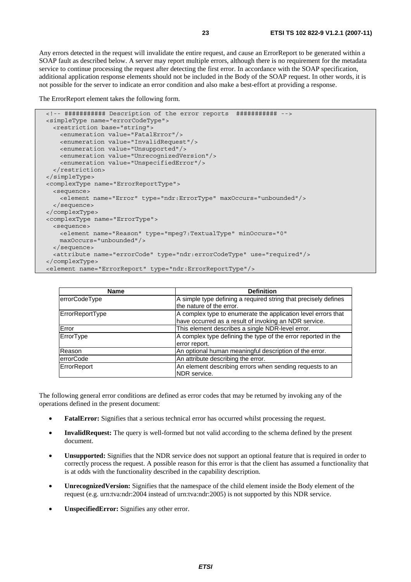Any errors detected in the request will invalidate the entire request, and cause an ErrorReport to be generated within a SOAP fault as described below. A server may report multiple errors, although there is no requirement for the metadata service to continue processing the request after detecting the first error. In accordance with the SOAP specification, additional application response elements should not be included in the Body of the SOAP request. In other words, it is not possible for the server to indicate an error condition and also make a best-effort at providing a response.

The ErrorReport element takes the following form.

```
 <!-- ########### Description of the error reports ########### --> 
 <simpleType name="errorCodeType"> 
  <restriction base="string"> 
    <enumeration value="FatalError"/> 
    <enumeration value="InvalidRequest"/> 
    <enumeration value="Unsupported"/> 
    <enumeration value="UnrecognizedVersion"/> 
    <enumeration value="UnspecifiedError"/> 
   </restriction> 
 </simpleType> 
 <complexType name="ErrorReportType"> 
  <sequence> 
     <element name="Error" type="ndr:ErrorType" maxOccurs="unbounded"/> 
  </sequence> 
 </complexType> 
 <complexType name="ErrorType"> 
  <sequence> 
    <element name="Reason" type="mpeg7:TextualType" minOccurs="0" 
    maxOccurs="unbounded"/> 
  </sequence> 
   <attribute name="errorCode" type="ndr:errorCodeType" use="required"/> 
 </complexType> 
 <element name="ErrorReport" type="ndr:ErrorReportType"/>
```

| <b>Name</b>      | <b>Definition</b>                                                                                                      |
|------------------|------------------------------------------------------------------------------------------------------------------------|
| errorCodeType    | A simple type defining a required string that precisely defines<br>the nature of the error.                            |
| ErrorReportType  | A complex type to enumerate the application level errors that<br>have occurred as a result of invoking an NDR service. |
| Error            | This element describes a single NDR-level error.                                                                       |
| ErrorType        | A complex type defining the type of the error reported in the<br>error report.                                         |
| Reason           | An optional human meaningful description of the error.                                                                 |
| <b>errorCode</b> | An attribute describing the error.                                                                                     |
| ErrorReport      | An element describing errors when sending requests to an<br>NDR service.                                               |

The following general error conditions are defined as error codes that may be returned by invoking any of the operations defined in the present document:

- **FatalError:** Signifies that a serious technical error has occurred whilst processing the request.
- **InvalidRequest:** The query is well-formed but not valid according to the schema defined by the present document.
- **Unsupported:** Signifies that the NDR service does not support an optional feature that is required in order to correctly process the request. A possible reason for this error is that the client has assumed a functionality that is at odds with the functionality described in the capability description.
- **UnrecognizedVersion:** Signifies that the namespace of the child element inside the Body element of the request (e.g. urn:tva:ndr:2004 instead of urn:tva:ndr:2005) is not supported by this NDR service.
- **UnspecifiedError:** Signifies any other error.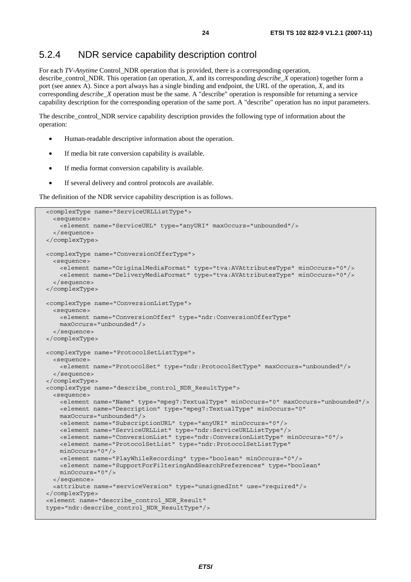### 5.2.4 NDR service capability description control

For each *TV-Anytime* Control\_NDR operation that is provided, there is a corresponding operation, describe\_control\_NDR. This operation (an operation, *X*, and its corresponding *describe*\_*X* operation) together form a port (see annex A). Since a port always has a single binding and endpoint, the URL of the operation, *X*, and its corresponding *describe\_X* operation must be the same. A "describe" operation is responsible for returning a service capability description for the corresponding operation of the same port. A "describe" operation has no input parameters.

The describe\_control\_NDR service capability description provides the following type of information about the operation:

- Human-readable descriptive information about the operation.
- If media bit rate conversion capability is available.
- If media format conversion capability is available.
- If several delivery and control protocols are available.

The definition of the NDR service capability description is as follows.

```
 <complexType name="ServiceURLListType"> 
  <sequence> 
    <element name="ServiceURL" type="anyURI" maxOccurs="unbounded"/> 
   </sequence> 
 </complexType> 
 <complexType name="ConversionOfferType"> 
  <sequence> 
    <element name="OriginalMediaFormat" type="tva:AVAttributesType" minOccurs="0"/> 
     <element name="DeliveryMediaFormat" type="tva:AVAttributesType" minOccurs="0"/> 
   </sequence> 
 </complexType> 
 <complexType name="ConversionListType"> 
  <sequence> 
    <element name="ConversionOffer" type="ndr:ConversionOfferType" 
    maxOccurs="unbounded"/> 
  </sequence> 
 </complexType> 
 <complexType name="ProtocolSetListType"> 
  <sequence> 
    <element name="ProtocolSet" type="ndr:ProtocolSetType" maxOccurs="unbounded"/> 
   </sequence> 
 </complexType> 
 <complexType name="describe_control_NDR_ResultType"> 
   <sequence> 
    <element name="Name" type="mpeg7:TextualType" minOccurs="0" maxOccurs="unbounded"/> 
    <element name="Description" type="mpeg7:TextualType" minOccurs="0" 
    maxOccurs="unbounded"/> 
    <element name="SubscriptionURL" type="anyURI" minOccurs="0"/> 
    <element name="ServiceURLList" type="ndr:ServiceURLListType"/> 
    <element name="ConversionList" type="ndr:ConversionListType" minOccurs="0"/> 
    <element name="ProtocolSetList" type="ndr:ProtocolSetListType" 
    minOccurs="0"/> 
    <element name="PlayWhileRecording" type="boolean" minOccurs="0"/> 
    <element name="SupportForFilteringAndSearchPreferences" type="boolean" 
    minOccurs="0"/> 
  </sequence> 
   <attribute name="serviceVersion" type="unsignedInt" use="required"/> 
 </complexType> 
 <element name="describe_control_NDR_Result" 
 type="ndr:describe_control_NDR_ResultType"/>
```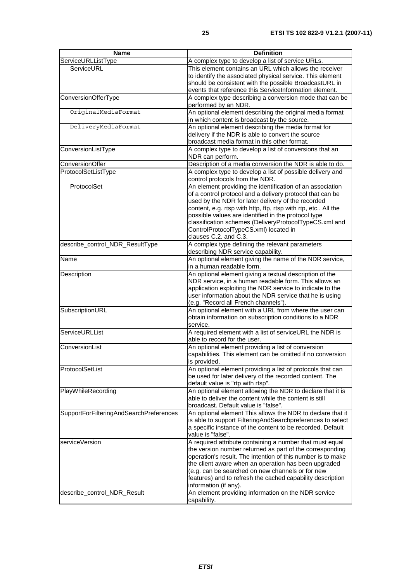| <b>Name</b>                             | <b>Definition</b>                                                                                                |
|-----------------------------------------|------------------------------------------------------------------------------------------------------------------|
| ServiceURLListType                      | A complex type to develop a list of service URLs.                                                                |
| ServiceURL                              | This element contains an URL which allows the receiver                                                           |
|                                         | to identify the associated physical service. This element                                                        |
|                                         | should be consistent with the possible BroadcastURL in                                                           |
|                                         | events that reference this ServiceInformation element.                                                           |
| ConversionOfferType                     | A complex type describing a conversion mode that can be<br>performed by an NDR.                                  |
| OriginalMediaFormat                     | An optional element describing the original media format                                                         |
|                                         | in which content is broadcast by the source.                                                                     |
| DeliveryMediaFormat                     | An optional element describing the media format for                                                              |
|                                         | delivery if the NDR is able to convert the source<br>broadcast media format in this other format.                |
| ConversionListType                      | A complex type to develop a list of conversions that an                                                          |
|                                         | NDR can perform.                                                                                                 |
| ConversionOffer                         | Description of a media conversion the NDR is able to do.                                                         |
| ProtocolSetListType                     | A complex type to develop a list of possible delivery and<br>control protocols from the NDR.                     |
| ProtocolSet                             | An element providing the identification of an association                                                        |
|                                         | of a control protocol and a delivery protocol that can be                                                        |
|                                         | used by the NDR for later delivery of the recorded                                                               |
|                                         | content, e.g. rtsp with http, ftp, rtsp with rtp, etc All the                                                    |
|                                         | possible values are identified in the protocol type<br>classification schemes (DeliveryProtocolTypeCS.xml and    |
|                                         | ControlProtocolTypeCS.xml) located in                                                                            |
|                                         | clauses C.2. and C.3.                                                                                            |
| describe_control_NDR_ResultType         | A complex type defining the relevant parameters                                                                  |
|                                         | describing NDR service capability.                                                                               |
| Name                                    | An optional element giving the name of the NDR service,                                                          |
|                                         | in a human readable form.                                                                                        |
| Description                             | An optional element giving a textual description of the                                                          |
|                                         | NDR service, in a human readable form. This allows an                                                            |
|                                         | application exploiting the NDR service to indicate to the                                                        |
|                                         | user information about the NDR service that he is using                                                          |
|                                         | (e.g. "Record all French channels").                                                                             |
| SubscriptionURL                         | An optional element with a URL from where the user can<br>obtain information on subscription conditions to a NDR |
|                                         | service.                                                                                                         |
| ServiceURLList                          | A required element with a list of serviceURL the NDR is                                                          |
|                                         | able to record for the user.                                                                                     |
| ConversionList                          | An optional element providing a list of conversion                                                               |
|                                         | capabilities. This element can be omitted if no conversion                                                       |
|                                         | is provided.                                                                                                     |
| ProtocolSetList                         | An optional element providing a list of protocols that can                                                       |
|                                         | be used for later delivery of the recorded content. The                                                          |
|                                         | default value is "rtp with rtsp".                                                                                |
| PlayWhileRecording                      | An optional element allowing the NDR to declare that it is                                                       |
|                                         | able to deliver the content while the content is still                                                           |
|                                         | broadcast. Default value is "false".<br>An optional element This allows the NDR to declare that it               |
| SupportForFilteringAndSearchPreferences | is able to support FilteringAndSearchpreferences to select                                                       |
|                                         | a specific instance of the content to be recorded. Default                                                       |
|                                         | value is "false".                                                                                                |
| serviceVersion                          | A required attribute containing a number that must equal                                                         |
|                                         | the version number returned as part of the corresponding                                                         |
|                                         | operation's result. The intention of this number is to make                                                      |
|                                         | the client aware when an operation has been upgraded                                                             |
|                                         | (e.g. can be searched on new channels or for new                                                                 |
|                                         | features) and to refresh the cached capability description                                                       |
|                                         | information (if any).                                                                                            |
| describe_control_NDR_Result             | An element providing information on the NDR service                                                              |
|                                         | capability.                                                                                                      |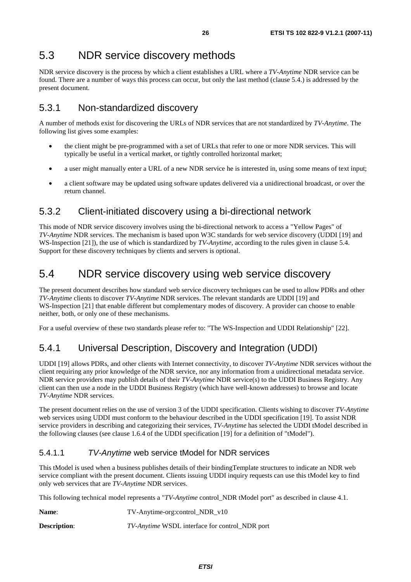### 5.3 NDR service discovery methods

NDR service discovery is the process by which a client establishes a URL where a *TV-Anytime* NDR service can be found. There are a number of ways this process can occur, but only the last method (clause 5.4.) is addressed by the present document.

### 5.3.1 Non-standardized discovery

A number of methods exist for discovering the URLs of NDR services that are not standardized by *TV-Anytime*. The following list gives some examples:

- the client might be pre-programmed with a set of URLs that refer to one or more NDR services. This will typically be useful in a vertical market, or tightly controlled horizontal market;
- a user might manually enter a URL of a new NDR service he is interested in, using some means of text input;
- a client software may be updated using software updates delivered via a unidirectional broadcast, or over the return channel.

#### 5.3.2 Client-initiated discovery using a bi-directional network

This mode of NDR service discovery involves using the bi-directional network to access a "Yellow Pages" of *TV-Anytime* NDR services. The mechanism is based upon W3C standards for web service discovery (UDDI [19] and WS-Inspection [21]), the use of which is standardized by *TV-Anytime*, according to the rules given in clause 5.4. Support for these discovery techniques by clients and servers is optional.

### 5.4 NDR service discovery using web service discovery

The present document describes how standard web service discovery techniques can be used to allow PDRs and other *TV-Anytime* clients to discover *TV-Anytime* NDR services. The relevant standards are UDDI [19] and WS*-*Inspection [21] that enable different but complementary modes of discovery. A provider can choose to enable neither, both, or only one of these mechanisms.

For a useful overview of these two standards please refer to: "The WS-Inspection and UDDI Relationship" [22].

### 5.4.1 Universal Description, Discovery and Integration (UDDI)

UDDI [19] allows PDRs, and other clients with Internet connectivity, to discover *TV-Anytime* NDR services without the client requiring any prior knowledge of the NDR service, nor any information from a unidirectional metadata service. NDR service providers may publish details of their *TV-Anytime* NDR service(s) to the UDDI Business Registry. Any client can then use a node in the UDDI Business Registry (which have well-known addresses) to browse and locate *TV-Anytime* NDR services.

The present document relies on the use of version 3 of the UDDI specification. Clients wishing to discover *TV-Anytime* web services using UDDI must conform to the behaviour described in the UDDI specification [19]. To assist NDR service providers in describing and categorizing their services, *TV-Anytime* has selected the UDDI tModel described in the following clauses (see clause 1.6.4 of the UDDI specification [19] for a definition of "tModel").

#### 5.4.1.1 *TV-Anytime* web service tModel for NDR services

This tModel is used when a business publishes details of their bindingTemplate structures to indicate an NDR web service compliant with the present document. Clients issuing UDDI inquiry requests can use this tModel key to find only web services that are *TV-Anytime* NDR services.

This following technical model represents a "*TV-Anytime* control\_NDR tModel port" as described in clause 4.1.

**Name:** TV-Anytime-org:control NDR v10

**Description:** *TV-Anytime* WSDL interface for control NDR port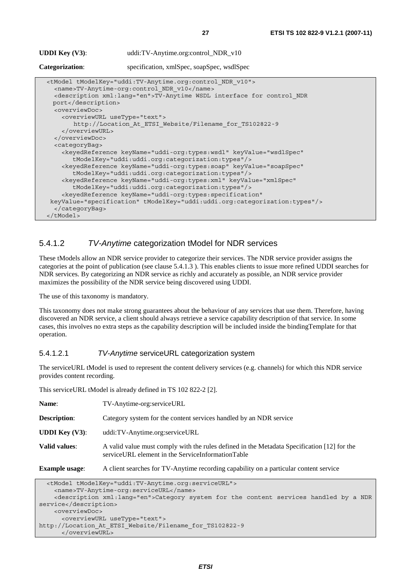| <b>UDDI</b> Key $(V3)$ :                                                           | uddi:TV-Anytime.org:control_NDR_v10                                                                                                                                                                                                                                                                                                                                                              |
|------------------------------------------------------------------------------------|--------------------------------------------------------------------------------------------------------------------------------------------------------------------------------------------------------------------------------------------------------------------------------------------------------------------------------------------------------------------------------------------------|
| Categorization:                                                                    | specification, xmlSpec, soapSpec, wsdlSpec                                                                                                                                                                                                                                                                                                                                                       |
| port<br><overviewdoc><br/><overviewurl usetype="text"></overviewurl></overviewdoc> | <tmodel tmodelkey="uddi:TV-Anytime.org:control NDR v10"><br/><name>TV-Anytime-org:control NDR v10</name><br/><description xml:lang="en">TV-Anytime WSDL interface for control NDR</description></tmodel>                                                                                                                                                                                         |
| <br>                                                                               | http://Location At ETSI Website/Filename for TS102822-9                                                                                                                                                                                                                                                                                                                                          |
| <categorybag></categorybag>                                                        | <keyedreference <br="" keyname="uddi-org:types:wsdl" keyvalue="wsdlSpec">tModelKey="uddi:uddi.org:categorization:types"/&gt;<br/><keyedreference <br="" keyname="uddi-orq:types:soap" keyvalue="soapSpec">tModelKey="uddi:uddi.org:categorization:types"/&gt;<br/><keyedreference <="" keyname="uddi-org:types:xml" keyvalue="xmlSpec" th=""></keyedreference></keyedreference></keyedreference> |
| <br>                                                                               | tModelKey="uddi:uddi.org:categorization:types"/><br><keyedreference <br="" keyname="uddi-org:types:specification">keyValue="specification" tModelKey="uddi:uddi.org:categorization:types"/&gt;</keyedreference>                                                                                                                                                                                  |

#### 5.4.1.2 *TV-Anytime* categorization tModel for NDR services

These tModels allow an NDR service provider to categorize their services. The NDR service provider assigns the categories at the point of publication (see clause 5.4.1.3 ). This enables clients to issue more refined UDDI searches for NDR services. By categorizing an NDR service as richly and accurately as possible, an NDR service provider maximizes the possibility of the NDR service being discovered using UDDI.

The use of this taxonomy is mandatory.

This taxonomy does not make strong guarantees about the behaviour of any services that use them. Therefore, having discovered an NDR service, a client should always retrieve a service capability description of that service. In some cases, this involves no extra steps as the capability description will be included inside the bindingTemplate for that operation.

#### 5.4.1.2.1 *TV-Anytime* serviceURL categorization system

The serviceURL tModel is used to represent the content delivery services (e.g. channels) for which this NDR service provides content recording.

This serviceURL tModel is already defined in TS 102 822-2 [2].

| Name:                    | TV-Anytime-org:serviceURL                                                                                                                        |  |
|--------------------------|--------------------------------------------------------------------------------------------------------------------------------------------------|--|
| <b>Description:</b>      | Category system for the content services handled by an NDR service                                                                               |  |
| <b>UDDI</b> Key $(V3)$ : | uddi:TV-Anytime.org:serviceURL                                                                                                                   |  |
| Valid values:            | A valid value must comply with the rules defined in the Metadata Specification [12] for the<br>serviceURL element in the ServiceInformationTable |  |
| <b>Example usage:</b>    | A client searches for TV-Anytime recording capability on a particular content service                                                            |  |

```
 <tModel tModelKey="uddi:TV-Anytime.org:serviceURL"> 
     <name>TV-Anytime-org:serviceURL</name> 
     <description xml:lang="en">Category system for the content services handled by a NDR 
service</description> 
     <overviewDoc> 
       <overviewURL useType="text"> 
http://Location_At_ETSI_Website/Filename_for_TS102822-9 
       </overviewURL>
```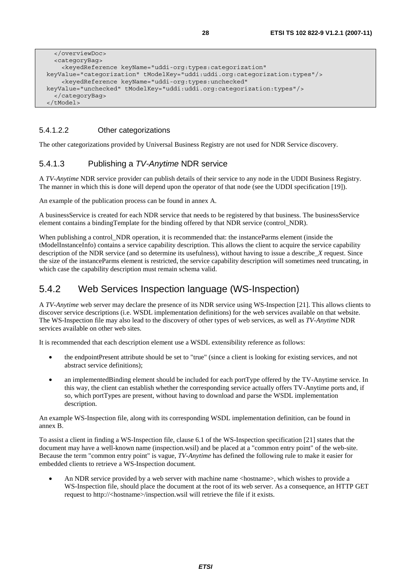```
 </overviewDoc> 
   <categoryBag> 
     <keyedReference keyName="uddi-org:types:categorization" 
 keyValue="categorization" tModelKey="uddi:uddi.org:categorization:types"/> 
     <keyedReference keyName="uddi-org:types:unchecked" 
 keyValue="unchecked" tModelKey="uddi:uddi.org:categorization:types"/> 
   </categoryBag> 
 </tModel>
```
#### 5.4.1.2.2 Other categorizations

The other categorizations provided by Universal Business Registry are not used for NDR Service discovery.

#### 5.4.1.3 Publishing a *TV-Anytime* NDR service

A *TV-Anytime* NDR service provider can publish details of their service to any node in the UDDI Business Registry. The manner in which this is done will depend upon the operator of that node (see the UDDI specification [19]).

An example of the publication process can be found in annex A.

A businessService is created for each NDR service that needs to be registered by that business. The businessService element contains a bindingTemplate for the binding offered by that NDR service (control\_NDR).

When publishing a control\_NDR operation, it is recommended that: the instanceParms element (inside the tModelInstanceInfo) contains a service capability description. This allows the client to acquire the service capability description of the NDR service (and so determine its usefulness), without having to issue a describe\_*X* request. Since the size of the instanceParms element is restricted, the service capability description will sometimes need truncating, in which case the capability description must remain schema valid.

### 5.4.2 Web Services Inspection language (WS-Inspection)

A *TV-Anytime* web server may declare the presence of its NDR service using WS-Inspection [21]. This allows clients to discover service descriptions (i.e. WSDL implementation definitions) for the web services available on that website. The WS-Inspection file may also lead to the discovery of other types of web services, as well as *TV-Anytime* NDR services available on other web sites.

It is recommended that each description element use a WSDL extensibility reference as follows:

- the endpointPresent attribute should be set to "true" (since a client is looking for existing services, and not abstract service definitions);
- an implementedBinding element should be included for each portType offered by the TV-Anytime service. In this way, the client can establish whether the corresponding service actually offers TV-Anytime ports and, if so, which portTypes are present, without having to download and parse the WSDL implementation description.

An example WS-Inspection file, along with its corresponding WSDL implementation definition, can be found in annex B.

To assist a client in finding a WS-Inspection file, clause 6.1 of the WS-Inspection specification [21] states that the document may have a well-known name (inspection.wsil) and be placed at a "common entry point" of the web-site. Because the term "common entry point" is vague, *TV-Anytime* has defined the following rule to make it easier for embedded clients to retrieve a WS-Inspection document.

An NDR service provided by a web server with machine name <hostname>, which wishes to provide a WS*-*Inspection file, should place the document at the root of its web server. As a consequence, an HTTP GET request to http://<hostname>/inspection.wsil will retrieve the file if it exists.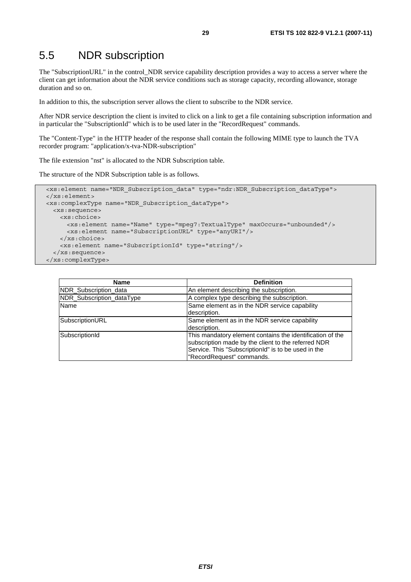### 5.5 NDR subscription

The "SubscriptionURL" in the control\_NDR service capability description provides a way to access a server where the client can get information about the NDR service conditions such as storage capacity, recording allowance, storage duration and so on.

In addition to this, the subscription server allows the client to subscribe to the NDR service.

After NDR service description the client is invited to click on a link to get a file containing subscription information and in particular the "SubscriptionId" which is to be used later in the "RecordRequest" commands.

The "Content-Type" in the HTTP header of the response shall contain the following MIME type to launch the TVA recorder program: "application/x-tva-NDR-subscription"

The file extension "nst" is allocated to the NDR Subscription table.

The structure of the NDR Subscription table is as follows.

```
 <xs:element name="NDR_Subscription_data" type="ndr:NDR_Subscription_dataType"> 
 </xs:element> 
 <xs:complexType name="NDR_Subscription_dataType"> 
  <xs:sequence> 
    <xs:choice> 
      <xs:element name="Name" type="mpeg7:TextualType" maxOccurs="unbounded"/> 
      <xs:element name="SubscriptionURL" type="anyURI"/> 
    </xs:choice> 
    <xs:element name="SubscriptionId" type="string"/> 
  </xs:sequence> 
 </xs:complexType>
```

| <b>Name</b>               | <b>Definition</b>                                                                                                                                                                                    |
|---------------------------|------------------------------------------------------------------------------------------------------------------------------------------------------------------------------------------------------|
| NDR_Subscription_data     | An element describing the subscription.                                                                                                                                                              |
| NDR_Subscription_dataType | A complex type describing the subscription.                                                                                                                                                          |
| Name                      | Same element as in the NDR service capability<br>description.                                                                                                                                        |
| SubscriptionURL           | Same element as in the NDR service capability<br>description.                                                                                                                                        |
| SubscriptionId            | This mandatory element contains the identification of the<br>subscription made by the client to the referred NDR<br>Service. This "SubscriptionId" is to be used in the<br>"RecordRequest" commands. |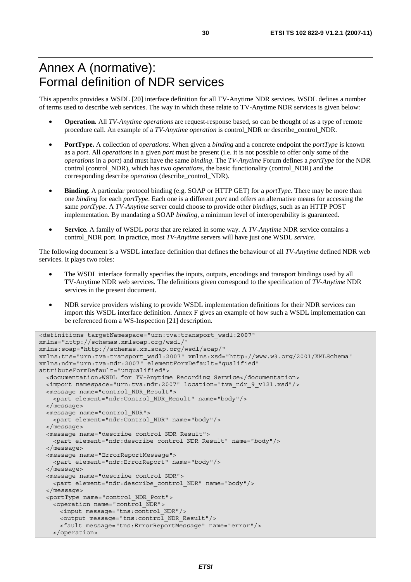# Annex A (normative): Formal definition of NDR services

This appendix provides a WSDL [20] interface definition for all TV-Anytime NDR services. WSDL defines a number of terms used to describe web services. The way in which these relate to TV-Anytime NDR services is given below:

- **Operation.** All *TV-Anytime operations* are request-response based, so can be thought of as a type of remote procedure call. An example of a *TV-Anytime operation* is control\_NDR or describe\_control\_NDR.
- **PortType.** A collection of *operations*. When given a *binding* and a concrete endpoint the *portType* is known as a *port*. All *operations* in a given *port* must be present (i.e. it is not possible to offer only some of the *operations* in a *port*) and must have the same *binding*. The *TV-Anytime* Forum defines a *portType* for the NDR control (control\_NDR), which has two *operations*, the basic functionality (control\_NDR) and the corresponding describe *operation* (describe\_control\_NDR).
- **Binding.** A particular protocol binding (e.g. SOAP or HTTP GET) for a *portType*. There may be more than one *binding* for each *portType*. Each one is a different *port* and offers an alternative means for accessing the same *portType*. A *TV-Anytime* server could choose to provide other *bindings*, such as an HTTP POST implementation. By mandating a SOAP *binding*, a minimum level of interoperability is guaranteed.
- **Service.** A family of WSDL *ports* that are related in some way. A *TV-Anytime* NDR service contains a control\_NDR port. In practice, most *TV-Anytime* servers will have just one WSDL *service*.

The following document is a WSDL interface definition that defines the behaviour of all *TV-Anytime* defined NDR web services. It plays two roles:

- The WSDL interface formally specifies the inputs, outputs, encodings and transport bindings used by all TV-Anytime NDR web services. The definitions given correspond to the specification of *TV-Anytime* NDR services in the present document.
- NDR service providers wishing to provide WSDL implementation definitions for their NDR services can import this WSDL interface definition. Annex F gives an example of how such a WSDL implementation can be referenced from a WS-Inspection [21] description.

```
<definitions targetNamespace="urn:tva:transport_wsdl:2007" 
xmlns="http://schemas.xmlsoap.org/wsdl/" 
xmlns:soap="http://schemas.xmlsoap.org/wsdl/soap/" 
xmlns:tns="urn:tva:transport_wsdl:2007" xmlns:xsd="http://www.w3.org/2001/XMLSchema" 
xmlns:ndr="urn:tva:ndr:2007" elementFormDefault="qualified" 
attributeFormDefault="unqualified"> 
   <documentation>WSDL for TV-Anytime Recording Service</documentation> 
   <import namespace="urn:tva:ndr:2007" location="tva_ndr_9_v121.xsd"/> 
   <message name="control_NDR_Result"> 
     <part element="ndr:Control_NDR_Result" name="body"/> 
   </message> 
   <message name="control_NDR"> 
    <part element="ndr:Control_NDR" name="body"/> 
   </message> 
   <message name="describe_control_NDR_Result"> 
    <part element="ndr:describe_control_NDR_Result" name="body"/> 
   </message> 
   <message name="ErrorReportMessage"> 
     <part element="ndr:ErrorReport" name="body"/> 
   </message> 
   <message name="describe_control_NDR"> 
    <part element="ndr:describe_control_NDR" name="body"/> 
   </message> 
   <portType name="control_NDR_Port"> 
    <operation name="control_NDR"> 
      <input message="tns:control_NDR"/> 
      <output message="tns:control_NDR_Result"/> 
       <fault message="tns:ErrorReportMessage" name="error"/> 
    </operation>
```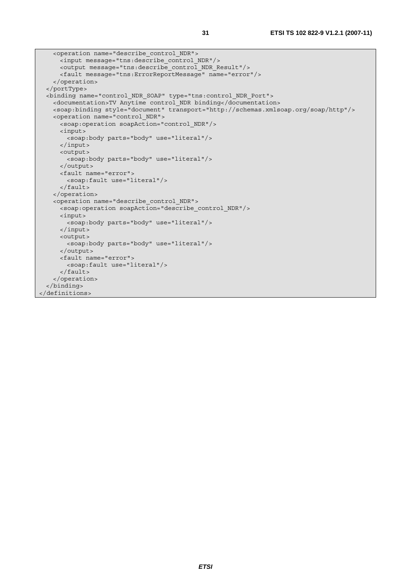```
 <operation name="describe_control_NDR"> 
      <input message="tns:describe_control_NDR"/> 
      <output message="tns:describe_control_NDR_Result"/> 
      <fault message="tns:ErrorReportMessage" name="error"/> 
    </operation> 
   </portType> 
  <binding name="control_NDR_SOAP" type="tns:control_NDR_Port"> 
    <documentation>TV Anytime control_NDR binding</documentation> 
    <soap:binding style="document" transport="http://schemas.xmlsoap.org/soap/http"/> 
    <operation name="control_NDR"> 
      <soap:operation soapAction="control_NDR"/> 
      <input> 
        <soap:body parts="body" use="literal"/> 
      </input> 
      <output> 
        <soap:body parts="body" use="literal"/> 
      </output> 
      <fault name="error"> 
        <soap:fault use="literal"/> 
      </fault> 
    </operation> 
    <operation name="describe_control_NDR"> 
     -<br><soap:operation soapAction="describe control NDR"/>
      <input> 
       <soap:body parts="body" use="literal"/>
      </input> 
      <output> 
        <soap:body parts="body" use="literal"/> 
      </output> 
      <fault name="error"> 
        <soap:fault use="literal"/> 
      </fault> 
     </operation> 
   </binding> 
</definitions>
```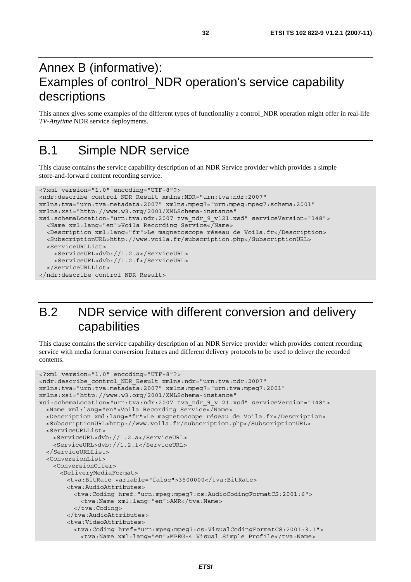# Annex B (informative): Examples of control\_NDR operation's service capability descriptions

This annex gives some examples of the different types of functionality a control\_NDR operation might offer in real*-*life *TV-Anytime* NDR service deployments.

# B.1 Simple NDR service

This clause contains the service capability description of an NDR Service provider which provides a simple store*-*and*-*forward content recording service.

```
<?xml version="1.0" encoding="UTF-8"?> 
<ndr:describe_control_NDR_Result xmlns:NDR="urn:tva:ndr:2007" 
xmlns:tva="urn:tva:metadata:2007" xmlns:mpeg7="urn:mpeg:mpeg7:schema:2001" 
xmlns:xsi="http://www.w3.org/2001/XMLSchema-instance" 
xsi:schemaLocation="urn:tva:ndr:2007 tva_ndr_9_v121.xsd" serviceVersion="148"> 
   <Name xml:lang="en">Voila Recording Service</Name> 
   <Description xml:lang="fr">Le magnetoscope réseau de Voila.fr</Description> 
   <SubscriptionURL>http://www.voila.fr/subscription.php</SubscriptionURL> 
   <ServiceURLList> 
     <ServiceURL>dvb://1.2.a</ServiceURL> 
     <ServiceURL>dvb://1.2.f</ServiceURL> 
   </ServiceURLList> 
</ndr:describe_control_NDR_Result>
```
# B.2 NDR service with different conversion and delivery capabilities

This clause contains the service capability description of an NDR Service provider which provides content recording service with media format conversion features and different delivery protocols to be used to deliver the recorded contents.

```
<?xml version="1.0" encoding="UTF-8"?> 
<ndr:describe_control_NDR_Result xmlns:ndr="urn:tva:ndr:2007" 
xmlns:tva="urn:tva:metadata:2007" xmlns:mpeg7="urn:tva:mpeg7:2001" 
xmlns:xsi="http://www.w3.org/2001/XMLSchema-instance" 
xsi:schemaLocation="urn:tva:ndr:2007 tva_ndr_9_v121.xsd" serviceVersion="148"> 
   <Name xml:lang="en">Voila Recording Service</Name> 
   <Description xml:lang="fr">Le magnetoscope réseau de Voila.fr</Description> 
   <SubscriptionURL>http://www.voila.fr/subscription.php</SubscriptionURL> 
   <ServiceURLList> 
     <ServiceURL>dvb://1.2.a</ServiceURL> 
     <ServiceURL>dvb://1.2.f</ServiceURL> 
   </ServiceURLList> 
   <ConversionList> 
    <ConversionOffer> 
       <DeliveryMediaFormat> 
        <tva:BitRate variable="false">3500000</tva:BitRate> 
        <tva:AudioAttributes> 
          <tva:Coding href="urn:mpeg:mpeg7:cs:AudioCodingFormatCS:2001:6"> 
            <tva:Name xml:lang="en">AMR</tva:Name> 
           </tva:Coding> 
         </tva:AudioAttributes> 
         <tva:VideoAttributes> 
          <tva:Coding href="urn:mpeg:mpeg7:cs:VisualCodingFormatCS:2001:3.1"> 
            <tva:Name xml:lang="en">MPEG-4 Visual Simple Profile</tva:Name>
```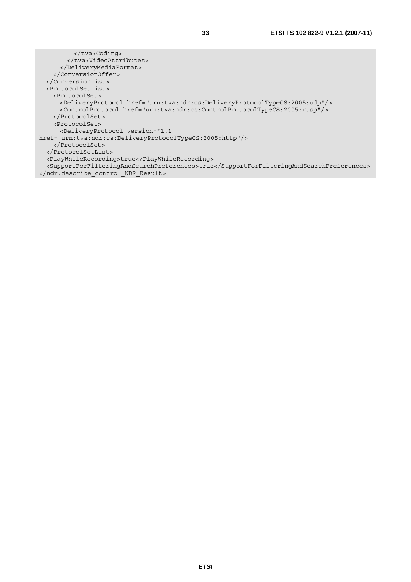</tva:Coding> </tva:VideoAttributes> </DeliveryMediaFormat> </ConversionOffer> </ConversionList> <ProtocolSetList> <ProtocolSet> <DeliveryProtocol href="urn:tva:ndr:cs:DeliveryProtocolTypeCS:2005:udp"/> <ControlProtocol href="urn:tva:ndr:cs:ControlProtocolTypeCS:2005:rtsp"/> </ProtocolSet> <ProtocolSet> <DeliveryProtocol version="1.1" href="urn:tva:ndr:cs:DeliveryProtocolTypeCS:2005:http"/> </ProtocolSet> </ProtocolSetList> <PlayWhileRecording>true</PlayWhileRecording> <SupportForFilteringAndSearchPreferences>true</SupportForFilteringAndSearchPreferences> </ndr:describe\_control\_NDR\_Result>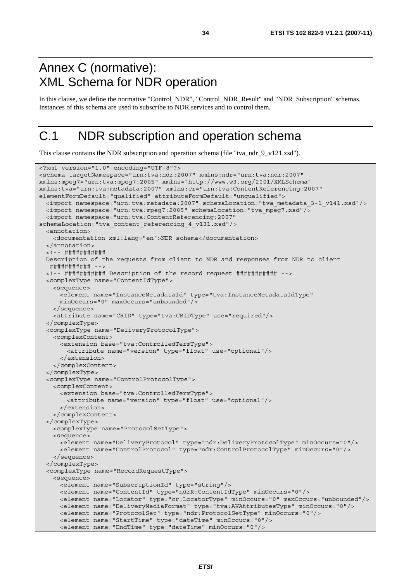### Annex C (normative): XML Schema for NDR operation

In this clause, we define the normative "Control\_NDR", "Control\_NDR\_Result" and "NDR\_Subscription" schemas. Instances of this schema are used to subscribe to NDR services and to control them.

# C.1 NDR subscription and operation schema

This clause contains the NDR subscription and operation schema (file "tva\_ndr\_9\_v121.xsd").

```
<?xml version="1.0" encoding="UTF-8"?> 
<schema targetNamespace="urn:tva:ndr:2007" xmlns:ndr="urn:tva:ndr:2007" 
xmlns:mpeg7="urn:tva:mpeg7:2005" xmlns="http://www.w3.org/2001/XMLSchema" 
xmlns:tva="urn:tva:metadata:2007" xmlns:cr="urn:tva:ContentReferencing:2007" 
elementFormDefault="qualified" attributeFormDefault="unqualified"> 
  <import namespace="urn:tva:metadata:2007" schemaLocation="tva_metadata_3-1_v141.xsd"/> 
  <import namespace="urn:tva:mpeg7:2005" schemaLocation="tva_mpeg7.xsd"/> 
   <import namespace="urn:tva:ContentReferencing:2007" 
schemaLocation="tva_content_referencing_4_v131.xsd"/> 
   <annotation> 
    <documentation xml:lang="en">NDR schema</documentation> 
   </annotation> 
   <!-- ########### 
  Description of the requests from client to NDR and responses from NDR to client 
   ########### --> 
   <!-- ########### Description of the record request ########### --> 
   <complexType name="ContentIdType"> 
    <sequence> 
      <element name="InstanceMetadataId" type="tva:InstanceMetadataIdType" 
      minOccurs="0" maxOccurs="unbounded"/> 
    </sequence> 
    <attribute name="CRID" type="tva:CRIDType" use="required"/> 
   </complexType> 
   <complexType name="DeliveryProtocolType"> 
    <complexContent> 
      <extension base="tva:ControlledTermType"> 
        <attribute name="version" type="float" use="optional"/> 
       </extension> 
    </complexContent> 
   </complexType> 
   <complexType name="ControlProtocolType"> 
    <complexContent> 
      <extension base="tva:ControlledTermType"> 
         <attribute name="version" type="float" use="optional"/> 
       </extension> 
     </complexContent> 
   </complexType> 
    <complexType name="ProtocolSetType"> 
    <sequence> 
      <element name="DeliveryProtocol" type="ndr:DeliveryProtocolType" minOccurs="0"/> 
       <element name="ControlProtocol" type="ndr:ControlProtocolType" minOccurs="0"/> 
     </sequence> 
   </complexType> 
   <complexType name="RecordRequestType"> 
     <sequence> 
      <element name="SubscriptionId" type="string"/> 
       <element name="ContentId" type="ndrR:ContentIdType" minOccurs="0"/> 
      <element name="Locator" type="cr:LocatorType" minOccurs="0" maxOccurs="unbounded"/> 
      <element name="DeliveryMediaFormat" type="tva:AVAttributesType" minOccurs="0"/> 
      <element name="ProtocolSet" type="ndr:ProtocolSetType" minOccurs="0"/> 
      <element name="StartTime" type="dateTime" minOccurs="0"/> 
       <element name="EndTime" type="dateTime" minOccurs="0"/>
```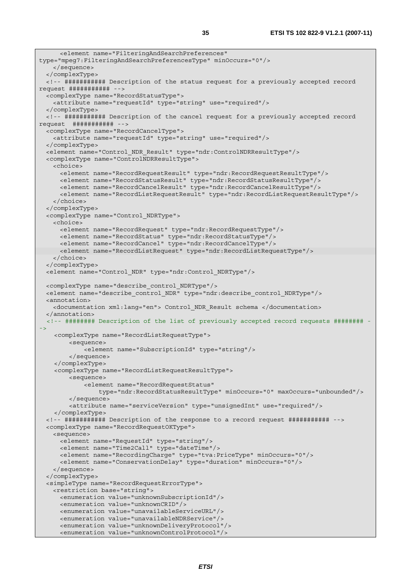```
 <element name="FilteringAndSearchPreferences" 
type="mpeg7:FilteringAndSearchPreferencesType" minOccurs="0"/> 
    </sequence> 
  </complexType> 
  <!-- ########### Description of the status request for a previously accepted record 
request ########### --> 
  <complexType name="RecordStatusType"> 
    <attribute name="requestId" type="string" use="required"/> 
  </complexType> 
  <!-- ########### Description of the cancel request for a previously accepted record 
request ########### --> 
  <complexType name="RecordCancelType"> 
    <attribute name="requestId" type="string" use="required"/> 
  </complexType> 
  <element name="Control_NDR_Result" type="ndr:ControlNDRResultType"/> 
  <complexType name="ControlNDRResultType"> 
    <choice> 
      <element name="RecordRequestResult" type="ndr:RecordRequestResultType"/> 
      <element name="RecordStatusResult" type="ndr:RecordStatusResultType"/> 
      <element name="RecordCancelResult" type="ndr:RecordCancelResultType"/> 
      <element name="RecordListRequestResult" type="ndr:RecordListRequestResultType"/> 
    </choice> 
   </complexType> 
  <complexType name="Control_NDRType"> 
    <choice> 
      <element name="RecordRequest" type="ndr:RecordRequestType"/> 
      <element name="RecordStatus" type="ndr:RecordStatusType"/> 
      <element name="RecordCancel" type="ndr:RecordCancelType"/> 
      <element name="RecordListRequest" type="ndr:RecordListRequestType"/> 
    </choice> 
   </complexType> 
  <element name="Control_NDR" type="ndr:Control_NDRType"/> 
  <complexType name="describe_control_NDRType"/> 
  <element name="describe_control_NDR" type="ndr:describe_control_NDRType"/> 
  <annotation> 
    <documentation xml:lang="en"> Control_NDR_Result schema </documentation> 
   </annotation> 
   <!-- ######## Description of the list of previously accepted record requests ######## -
->
     <complexType name="RecordListRequestType"> 
         <sequence> 
             <element name="SubscriptionId" type="string"/> 
         </sequence> 
     </complexType> 
     <complexType name="RecordListRequestResultType"> 
         <sequence> 
             <element name="RecordRequestStatus" 
                 type="ndr:RecordStatusResultType" minOccurs="0" maxOccurs="unbounded"/> 
         </sequence> 
         <attribute name="serviceVersion" type="unsignedInt" use="required"/> 
     </complexType> 
  <!-- ########### Description of the response to a record request ########### --> 
  <complexType name="RecordRequestOKType"> 
    <sequence> 
      <element name="RequestId" type="string"/> 
      <element name="Time2Call" type="dateTime"/> 
      <element name="RecordingCharge" type="tva:PriceType" minOccurs="0"/> 
      <element name="ConservationDelay" type="duration" minOccurs="0"/> 
    </sequence> 
   </complexType> 
  <simpleType name="RecordRequestErrorType"> 
    <restriction base="string"> 
      <enumeration value="unknownSubscriptionId"/> 
      <enumeration value="unknownCRID"/> 
      <enumeration value="unavailableServiceURL"/> 
      <enumeration value="unavailableNDRService"/> 
      <enumeration value="unknownDeliveryProtocol"/> 
      <enumeration value="unknownControlProtocol"/>
```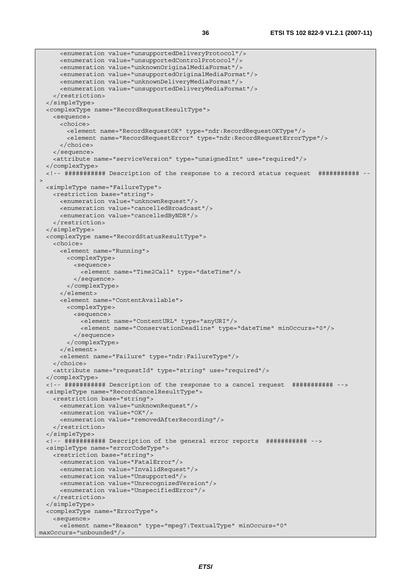```
 <enumeration value="unsupportedDeliveryProtocol"/> 
      <enumeration value="unsupportedControlProtocol"/> 
      <enumeration value="unknownOriginalMediaFormat"/> 
      <enumeration value="unsupportedOriginalMediaFormat"/> 
      <enumeration value="unknownDeliveryMediaFormat"/> 
       <enumeration value="unsupportedDeliveryMediaFormat"/> 
    </restriction> 
  </simpleType> 
  <complexType name="RecordRequestResultType"> 
    <sequence> 
      <choice> 
        <element name="RecordRequestOK" type="ndr:RecordRequestOKType"/> 
        <element name="RecordRequestError" type="ndr:RecordRequestErrorType"/> 
      </choice> 
    </sequence> 
     <attribute name="serviceVersion" type="unsignedInt" use="required"/> 
   </complexType> 
   <!-- ########### Description of the response to a record status request ########### --
\overline{ } <simpleType name="FailureType"> 
    <restriction base="string"> 
      <enumeration value="unknownRequest"/> 
      <enumeration value="cancelledBroadcast"/> 
      <enumeration value="cancelledByNDR"/> 
    </restriction> 
   </simpleType> 
   <complexType name="RecordStatusResultType"> 
     <choice> 
      <element name="Running"> 
        <complexType> 
          <sequence> 
            <element name="Time2Call" type="dateTime"/> 
           </sequence> 
        </complexType> 
      </element> 
       <element name="ContentAvailable"> 
        <complexType> 
          <sequence> 
             <element name="ContentURL" type="anyURI"/> 
             <element name="ConservationDeadline" type="dateTime" minOccurs="0"/> 
          </sequence> 
        </complexType> 
       </element> 
       <element name="Failure" type="ndr:FailureType"/> 
    </choice> 
    <attribute name="requestId" type="string" use="required"/> 
   </complexType> 
  <!-- ########### Description of the response to a cancel request ########### --> 
  <simpleType name="RecordCancelResultType"> 
    <restriction base="string"> 
      <enumeration value="unknownRequest"/> 
      <enumeration value="OK"/> 
      <enumeration value="removedAfterRecording"/> 
     </restriction> 
   </simpleType> 
  <!-- ########### Description of the general error reports ########### --> 
  <simpleType name="errorCodeType"> 
    <restriction base="string"> 
      <enumeration value="FatalError"/> 
      <enumeration value="InvalidRequest"/> 
      <enumeration value="Unsupported"/> 
      <enumeration value="UnrecognizedVersion"/> 
      <enumeration value="UnspecifiedError"/> 
    </restriction> 
   </simpleType> 
   <complexType name="ErrorType"> 
     <sequence> 
      <element name="Reason" type="mpeg7:TextualType" minOccurs="0" 
maxOccurs="unbounded"/>
```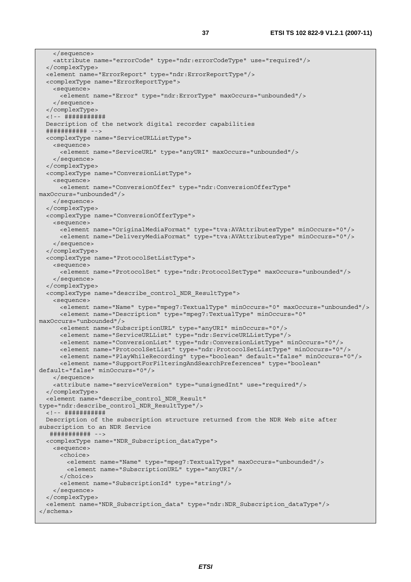```
 </sequence> 
     <attribute name="errorCode" type="ndr:errorCodeType" use="required"/> 
   </complexType> 
   <element name="ErrorReport" type="ndr:ErrorReportType"/> 
   <complexType name="ErrorReportType"> 
     <sequence> 
      <element name="Error" type="ndr:ErrorType" maxOccurs="unbounded"/> 
     </sequence> 
   </complexType> 
   <!-- ########### 
  Description of the network digital recorder capabilities 
   ########### --> 
   <complexType name="ServiceURLListType"> 
    <sequence> 
      <element name="ServiceURL" type="anyURI" maxOccurs="unbounded"/> 
     </sequence> 
   </complexType> 
   <complexType name="ConversionListType"> 
     <sequence> 
      <element name="ConversionOffer" type="ndr:ConversionOfferType" 
maxOccurs="unbounded"/> 
     </sequence> 
   </complexType> 
   <complexType name="ConversionOfferType"> 
     <sequence> 
      <element name="OriginalMediaFormat" type="tva:AVAttributesType" minOccurs="0"/> 
       <element name="DeliveryMediaFormat" type="tva:AVAttributesType" minOccurs="0"/> 
     </sequence> 
   </complexType> 
   <complexType name="ProtocolSetListType"> 
    <sequence> 
      <element name="ProtocolSet" type="ndr:ProtocolSetType" maxOccurs="unbounded"/> 
     </sequence> 
   </complexType> 
   <complexType name="describe_control_NDR_ResultType"> 
     <sequence> 
      <element name="Name" type="mpeg7:TextualType" minOccurs="0" maxOccurs="unbounded"/> 
      <element name="Description" type="mpeg7:TextualType" minOccurs="0" 
maxOccurs="unbounded"/> 
      <element name="SubscriptionURL" type="anyURI" minOccurs="0"/> 
      <element name="ServiceURLList" type="ndr:ServiceURLListType"/> 
      <element name="ConversionList" type="ndr:ConversionListType" minOccurs="0"/> 
      <element name="ProtocolSetList" type="ndr:ProtocolSetListType" minOccurs="0"/> 
      <element name="PlayWhileRecording" type="boolean" default="false" minOccurs="0"/> 
      <element name="SupportForFilteringAndSearchPreferences" type="boolean" 
default="false" minOccurs="0"/> 
     </sequence> 
     <attribute name="serviceVersion" type="unsignedInt" use="required"/> 
   </complexType> 
   <element name="describe_control_NDR_Result" 
type="ndr:describe_control_NDR_ResultType"/> 
   <!-- ########### 
  Description of the subscription structure returned from the NDR Web site after 
subscription to an NDR Service 
   ########### --> 
   <complexType name="NDR_Subscription_dataType"> 
    <sequence> 
      <choice> 
        <element name="Name" type="mpeg7:TextualType" maxOccurs="unbounded"/> 
         <element name="SubscriptionURL" type="anyURI"/> 
       </choice> 
      <element name="SubscriptionId" type="string"/> 
     </sequence> 
   </complexType> 
   <element name="NDR_Subscription_data" type="ndr:NDR_Subscription_dataType"/> 
</schema>
```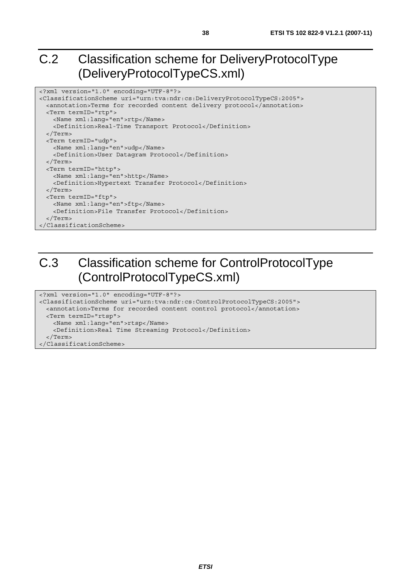# C.2 Classification scheme for DeliveryProtocolType (DeliveryProtocolTypeCS.xml)

```
<?xml version="1.0" encoding="UTF-8"?> 
<ClassificationScheme uri="urn:tva:ndr:cs:DeliveryProtocolTypeCS:2005"> 
  <annotation>Terms for recorded content delivery protocol</annotation> 
  <Term termID="rtp"> 
    <Name xml:lang="en">rtp</Name> 
    <Definition>Real-Time Transport Protocol</Definition> 
   </Term> 
  <Term termID="udp"> 
    <Name xml:lang="en">udp</Name> 
     <Definition>User Datagram Protocol</Definition> 
  </Term> 
  <Term termID="http"> 
    <Name xml:lang="en">http</Name> 
    <Definition>Hypertext Transfer Protocol</Definition> 
  </Term> 
  <Term termID="ftp"> 
    <Name xml:lang="en">ftp</Name> 
    <Definition>File Transfer Protocol</Definition> 
   </Term> 
</ClassificationScheme>
```
# C.3 Classification scheme for ControlProtocolType (ControlProtocolTypeCS.xml)

```
<?xml version="1.0" encoding="UTF-8"?> 
<ClassificationScheme uri="urn:tva:ndr:cs:ControlProtocolTypeCS:2005"> 
  <annotation>Terms for recorded content control protocol</annotation> 
  <Term termID="rtsp"> 
    <Name xml:lang="en">rtsp</Name> 
    <Definition>Real Time Streaming Protocol</Definition> 
   </Term> 
</ClassificationScheme>
```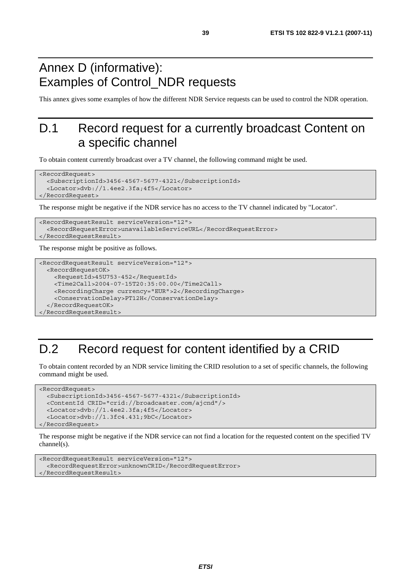# Annex D (informative): Examples of Control\_NDR requests

This annex gives some examples of how the different NDR Service requests can be used to control the NDR operation.

# D.1 Record request for a currently broadcast Content on a specific channel

To obtain content currently broadcast over a TV channel, the following command might be used.

```
<RecordRequest> 
   <SubscriptionId>3456-4567-5677-4321</SubscriptionId> 
   <Locator>dvb://1.4ee2.3fa;4f5</Locator> 
</RecordRequest>
```
The response might be negative if the NDR service has no access to the TV channel indicated by "Locator".

```
<RecordRequestResult serviceVersion="12"> 
   <RecordRequestError>unavailableServiceURL</RecordRequestError> 
</RecordRequestResult>
```
The response might be positive as follows.

```
<RecordRequestResult serviceVersion="12"> 
  <RecordRequestOK> 
     <RequestId>45U753-452</RequestId> 
     <Time2Call>2004-07-15T20:35:00.00</Time2Call> 
     <RecordingCharge currency="EUR">2</RecordingCharge> 
     <ConservationDelay>PT12H</ConservationDelay> 
   </RecordRequestOK> 
</RecordRequestResult>
```
# D.2 Record request for content identified by a CRID

To obtain content recorded by an NDR service limiting the CRID resolution to a set of specific channels, the following command might be used.

```
<RecordRequest> 
   <SubscriptionId>3456-4567-5677-4321</SubscriptionId> 
   <ContentId CRID="crid://broadcaster.com/ajcnd"/> 
   <Locator>dvb://1.4ee2.3fa;4f5</Locator> 
   <Locator>dvb://1.3fc4.431;9bC</Locator> 
</RecordRequest>
```
The response might be negative if the NDR service can not find a location for the requested content on the specified TV channel(s).

```
<RecordRequestResult serviceVersion="12"> 
   <RecordRequestError>unknownCRID</RecordRequestError> 
</RecordRequestResult>
```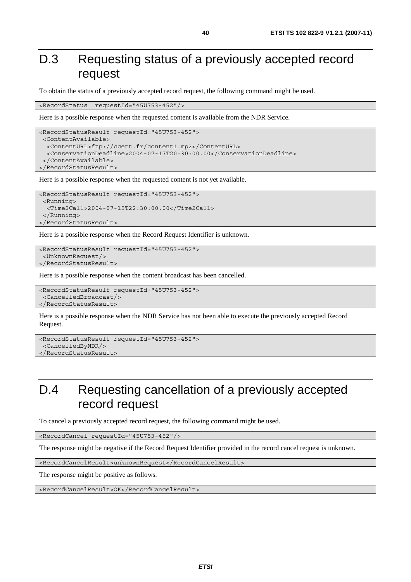# D.3 Requesting status of a previously accepted record request

To obtain the status of a previously accepted record request, the following command might be used.

<RecordStatus requestId="45U753-452"/>

Here is a possible response when the requested content is available from the NDR Service.

```
<RecordStatusResult requestId="45U753-452"> 
  <ContentAvailable> 
   <ContentURL>ftp://ccett.fr/content1.mp2</ContentURL> 
   <ConservationDeadline>2004-07-17T20:30:00.00</ConservationDeadline> 
  </ContentAvailable> 
</RecordStatusResult>
```
Here is a possible response when the requested content is not yet available.

```
<RecordStatusResult requestId="45U753-452"> 
  <Running> 
   <Time2Call>2004-07-15T22:30:00.00</Time2Call> 
  </Running> 
</RecordStatusResult>
```
Here is a possible response when the Record Request Identifier is unknown.

```
<RecordStatusResult requestId="45U753-452"> 
  <UnknownRequest/> 
</RecordStatusResult>
```
Here is a possible response when the content broadcast has been cancelled.

```
<RecordStatusResult requestId="45U753-452"> 
  <CancelledBroadcast/> 
</RecordStatusResult>
```
Here is a possible response when the NDR Service has not been able to execute the previously accepted Record Request.

```
<RecordStatusResult requestId="45U753-452"> 
  <CancelledByNDR/> 
</RecordStatusResult>
```
# D.4 Requesting cancellation of a previously accepted record request

To cancel a previously accepted record request, the following command might be used.

<RecordCancel requestId="45U753-452"/>

The response might be negative if the Record Request Identifier provided in the record cancel request is unknown.

<RecordCancelResult>unknownRequest</RecordCancelResult>

The response might be positive as follows.

<RecordCancelResult>OK</RecordCancelResult>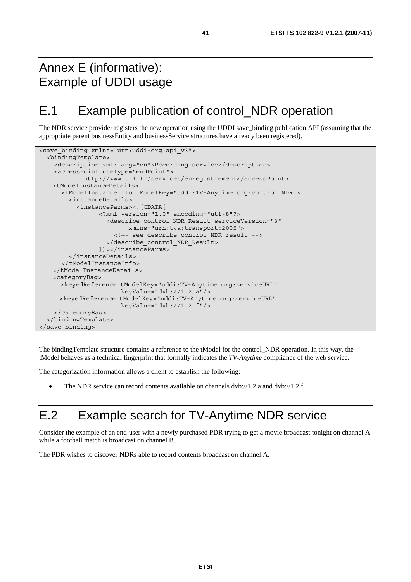# Annex E (informative): Example of UDDI usage

# E.1 Example publication of control\_NDR operation

The NDR service provider registers the new operation using the UDDI save\_binding publication API (assuming that the appropriate parent businessEntity and businessService structures have already been registered).

```
<save binding xmlns="urn:uddi-org:api v3">
   <bindingTemplate> 
     <description xml:lang="en">Recording service</description> 
     <accessPoint useType="endPoint"> 
             http://www.tf1.fr/services/enregistrement</accessPoint> 
    <tModelInstanceDetails> 
       <tModelInstanceInfo tModelKey="uddi:TV-Anytime.org:control_NDR"> 
         <instanceDetails> 
           <instanceParms><![CDATA[ 
                  <?xml version="1.0" encoding="utf-8"?> 
                    <describe_control_NDR_Result serviceVersion="3" 
                          xmlns="urn:tva:transport:2005"> 
                      <!—- see describe_control_NDR_result --> 
                    </describe_control_NDR_Result> 
                  ]]></instanceParms> 
         </instanceDetails> 
       </tModelInstanceInfo> 
    </tModelInstanceDetails> 
    <categoryBag> 
       <keyedReference tModelKey="uddi:TV-Anytime.org:serviceURL" 
                        keyValue="dvb://1.2.a"/> 
       <keyedReference tModelKey="uddi:TV-Anytime.org:serviceURL" 
                        keyValue="dvb://1.2.f"/> 
     </categoryBag> 
   </bindingTemplate> 
</save_binding>
```
The bindingTemplate structure contains a reference to the tModel for the control\_NDR operation. In this way, the tModel behaves as a technical fingerprint that formally indicates the *TV-Anytime* compliance of the web service.

The categorization information allows a client to establish the following:

• The NDR service can record contents available on channels dvb://1.2.a and dvb://1.2.f.

# E.2 Example search for TV-Anytime NDR service

Consider the example of an end-user with a newly purchased PDR trying to get a movie broadcast tonight on channel A while a football match is broadcast on channel B.

The PDR wishes to discover NDRs able to record contents broadcast on channel A.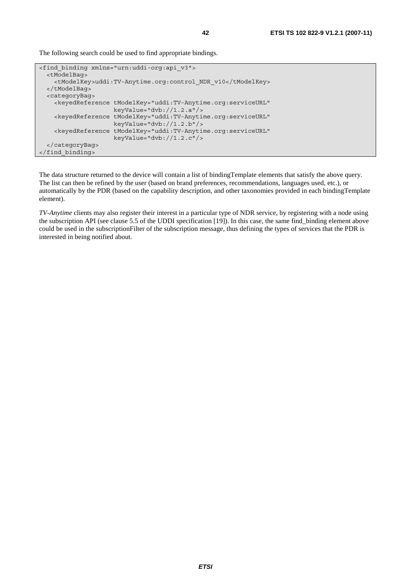The following search could be used to find appropriate bindings.

```
<find_binding xmlns="urn:uddi-org:api_v3"> 
   <tModelBag> 
     <tModelKey>uddi:TV-Anytime.org:control_NDR_v10</tModelKey> 
   </tModelBag> 
   <categoryBag> 
     <keyedReference tModelKey="uddi:TV-Anytime.org:serviceURL" 
                      keyValue="dvb://1.2.a"/> 
     <keyedReference tModelKey="uddi:TV-Anytime.org:serviceURL" 
                      keyValue="dvb://1.2.b"/> 
     <keyedReference tModelKey="uddi:TV-Anytime.org:serviceURL" 
                      keyValue="dvb://1.2.c"/> 
   </categoryBag> 
</find_binding>
```
The data structure returned to the device will contain a list of bindingTemplate elements that satisfy the above query. The list can then be refined by the user (based on brand preferences, recommendations, languages used, etc.), or automatically by the PDR (based on the capability description, and other taxonomies provided in each bindingTemplate element).

*TV-Anytime* clients may also register their interest in a particular type of NDR service, by registering with a node using the subscription API (see clause 5.5 of the UDDI specification [19]). In this case, the same find\_binding element above could be used in the subscriptionFilter of the subscription message, thus defining the types of services that the PDR is interested in being notified about.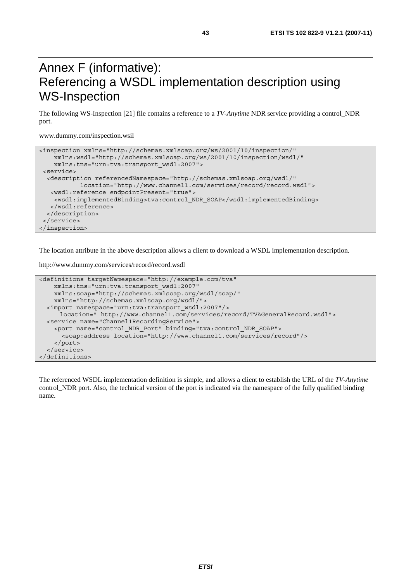# Annex F (informative): Referencing a WSDL implementation description using WS-Inspection

The following WS-Inspection [21] file contains a reference to a *TV-Anytime* NDR service providing a control\_NDR port.

www.dummy.com/inspection.wsil

```
<inspection xmlns="http://schemas.xmlsoap.org/ws/2001/10/inspection/" 
    xmlns:wsdl="http://schemas.xmlsoap.org/ws/2001/10/inspection/wsdl/" 
    xmlns:tns="urn:tva:transport_wsdl:2007"> 
 <service> 
   <description referencedNamespace="http://schemas.xmlsoap.org/wsdl/" 
            location="http://www.channel1.com/services/record/record.wsdl"> 
   <wsdl:reference endpointPresent="true"> 
    <wsdl:implementedBinding>tva:control_NDR_SOAP</wsdl:implementedBinding> 
    </wsdl:reference> 
  </description> 
  </service> 
</inspection>
```
The location attribute in the above description allows a client to download a WSDL implementation description.

http://www.dummy.com/services/record/record.wsdl

```
<definitions targetNamespace="http://example.com/tva" 
     xmlns:tns="urn:tva:transport_wsdl:2007" 
    xmlns:soap="http://schemas.xmlsoap.org/wsdl/soap/" 
     xmlns="http://schemas.xmlsoap.org/wsdl/"> 
   <import namespace="urn:tva:transport_wsdl:2007"/> 
      location=" http://www.channel1.com/services/record/TVAGeneralRecord.wsdl"> 
   <service name="Channel1RecordingService"> 
     <port name="control_NDR_Port" binding="tva:control_NDR_SOAP"> 
       <soap:address location="http://www.channel1.com/services/record"/> 
     </port> 
   </service> 
</definitions>
```
The referenced WSDL implementation definition is simple, and allows a client to establish the URL of the *TV-Anytime* control NDR port. Also, the technical version of the port is indicated via the namespace of the fully qualified binding name.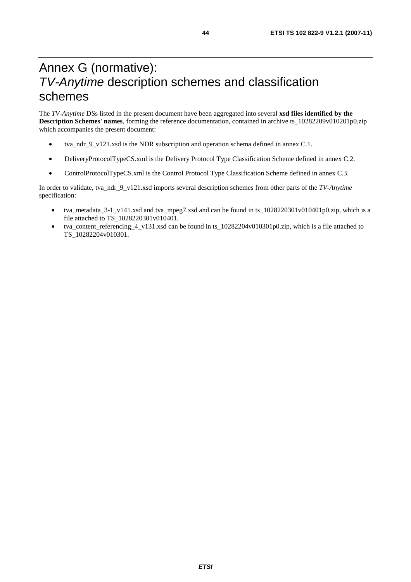# Annex G (normative): *TV-Anytime* description schemes and classification schemes

The *TV-Anytime* DSs listed in the present document have been aggregated into several **xsd files identified by the Description Schemes' names**, forming the reference documentation, contained in archive ts\_10282209v010201p0.zip which accompanies the present document:

- tva\_ndr\_9\_v121.xsd is the NDR subscription and operation schema defined in annex C.1.
- DeliveryProtocolTypeCS.xml is the Delivery Protocol Type Classification Scheme defined in annex C.2.
- ControlProtocolTypeCS.xml is the Control Protocol Type Classification Scheme defined in annex C.3.

In order to validate, tva\_ndr\_9\_v121.xsd imports several description schemes from other parts of the *TV-Anytime*  specification:

- tva\_metadata\_3-1\_v141.xsd and tva\_mpeg7.xsd and can be found in ts\_1028220301v010401p0.zip, which is a file attached to TS\_1028220301v010401.
- tva\_content\_referencing\_4\_v131.xsd can be found in ts\_10282204v010301p0.zip, which is a file attached to TS\_10282204v010301.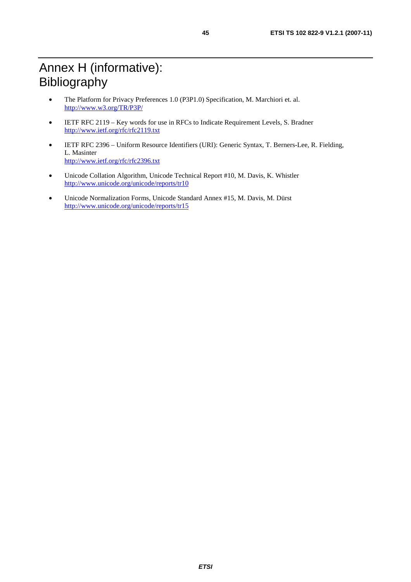- The Platform for Privacy Preferences 1.0 (P3P1.0) Specification, M. Marchiori et. al. <http://www.w3.org/TR/P3P/>
- IETF RFC 2119 Key words for use in RFCs to Indicate Requirement Levels, S. Bradner <http://www.ietf.org/rfc/rfc2119.txt>
- IETF RFC 2396 Uniform Resource Identifiers (URI): Generic Syntax, T. Berners-Lee, R. Fielding, L. Masinter <http://www.ietf.org/rfc/rfc2396.txt>
- Unicode Collation Algorithm, Unicode Technical Report #10, M. Davis, K. Whistler <http://www.unicode.org/unicode/reports/tr10>
- Unicode Normalization Forms, Unicode Standard Annex #15, M. Davis, M. Dürst <http://www.unicode.org/unicode/reports/tr15>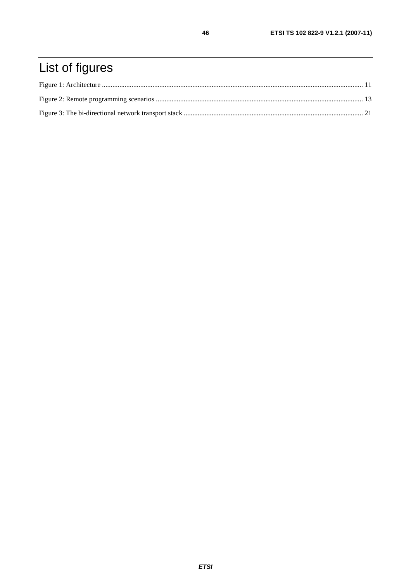# List of figures